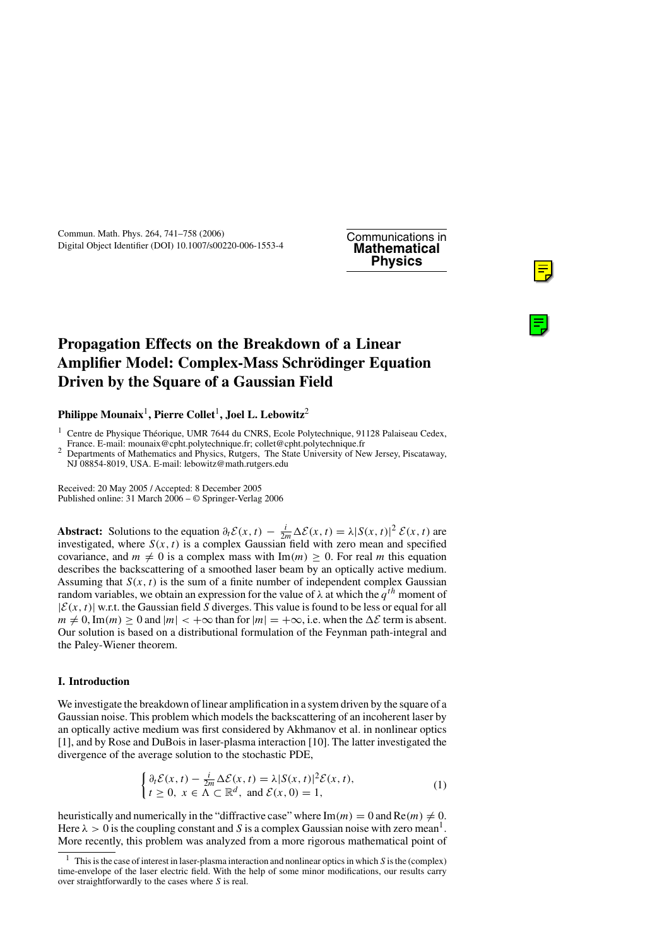# **Propagation Effects on the Breakdown of a Linear Amplifier Model: Complex-Mass Schrödinger Equation Driven by the Square of a Gaussian Field**

**Philippe Mounaix**1**, Pierre Collet**1**, Joel L. Lebowitz**<sup>2</sup>

<sup>1</sup> Centre de Physique Théorique, UMR 7644 du CNRS, Ecole Polytechnique, 91128 Palaiseau Cedex, France. E-mail: mounaix@cpht.polytechnique.fr; collet@cpht.polytechnique.fr

<sup>2</sup> Departments of Mathematics and Physics, Rutgers, The State University of New Jersey, Piscataway, NJ 08854-8019, USA. E-mail: lebowitz@math.rutgers.edu

Received: 20 May 2005 / Accepted: 8 December 2005 Published online: 31 March 2006 – © Springer-Verlag 2006

**Abstract:** Solutions to the equation  $\partial_t \mathcal{E}(x, t) - \frac{i}{2m} \Delta \mathcal{E}(x, t) = \lambda |S(x, t)|^2 \mathcal{E}(x, t)$  are investigated, where  $S(x, t)$  is a complex Gaussian field with zero mean and specified covariance, and  $m \neq 0$  is a complex mass with Im(*m*)  $\geq 0$ . For real *m* this equation describes the backscattering of a smoothed laser beam by an optically active medium. Assuming that  $S(x, t)$  is the sum of a finite number of independent complex Gaussian random variables, we obtain an expression for the value of  $\lambda$  at which the  $q^{th}$  moment of  $|\mathcal{E}(x, t)|$  w.r.t. the Gaussian field S diverges. This value is found to be less or equal for all  $m \neq 0$ , Im(*m*)  $\geq 0$  and  $|m| < +\infty$  than for  $|m| = +\infty$ , i.e. when the  $\Delta \mathcal{E}$  term is absent. Our solution is based on a distributional formulation of the Feynman path-integral and the Paley-Wiener theorem.

### **I. Introduction**

We investigate the breakdown of linear amplification in a system driven by the square of a Gaussian noise. This problem which models the backscattering of an incoherent laser by an optically active medium was first considered by Akhmanov et al. in nonlinear optics [1], and by Rose and DuBois in laser-plasma interaction [10]. The latter investigated the divergence of the average solution to the stochastic PDE,

$$
\begin{cases} \partial_t \mathcal{E}(x, t) - \frac{i}{2m} \Delta \mathcal{E}(x, t) = \lambda |S(x, t)|^2 \mathcal{E}(x, t), \\ t \ge 0, \ x \in \Lambda \subset \mathbb{R}^d, \text{ and } \mathcal{E}(x, 0) = 1, \end{cases}
$$
(1)

heuristically and numerically in the "diffractive case" where  $\text{Im}(m) = 0$  and  $\text{Re}(m) \neq 0$ . Here  $\lambda > 0$  is the coupling constant and S is a complex Gaussian noise with zero mean<sup>1</sup>. More recently, this problem was analyzed from a more rigorous mathematical point of

<sup>&</sup>lt;sup>1</sup> This is the case of interest in laser-plasma interaction and nonlinear optics in which  $S$  is the (complex) time-envelope of the laser electric field. With the help of some minor modifications, our results carry over straightforwardly to the cases where S is real.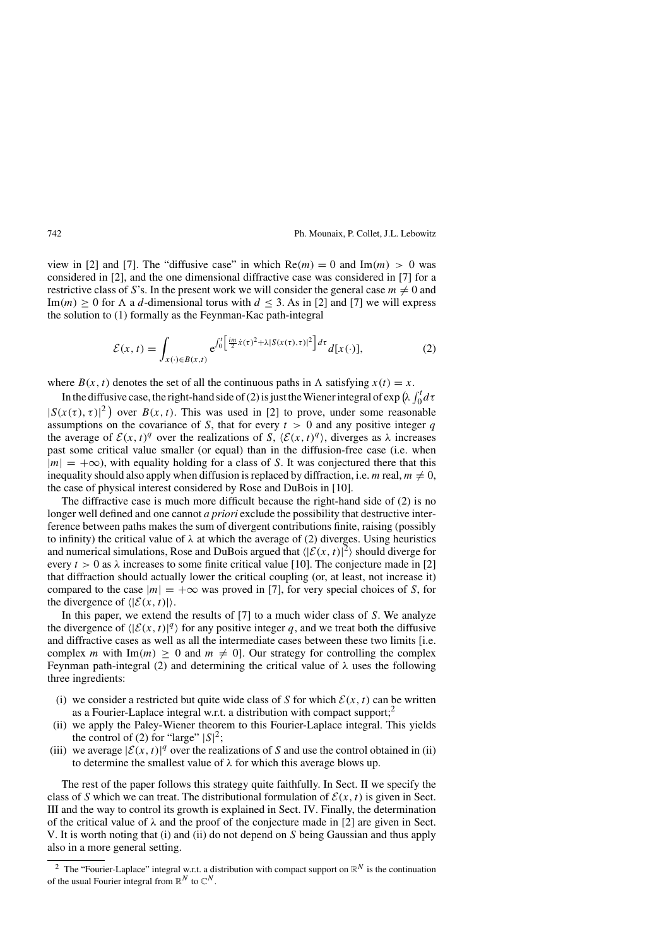view in [2] and [7]. The "diffusive case" in which  $Re(m) = 0$  and  $Im(m) > 0$  was considered in [2], and the one dimensional diffractive case was considered in [7] for a restrictive class of S's. In the present work we will consider the general case  $m \neq 0$  and Im(*m*)  $\geq 0$  for  $\Lambda$  a *d*-dimensional torus with  $d \leq 3$ . As in [2] and [7] we will express the solution to (1) formally as the Feynman-Kac path-integral

$$
\mathcal{E}(x,t) = \int_{x(\cdot) \in B(x,t)} e^{\int_0^t \left[\frac{im}{2} \dot{x}(\tau)^2 + \lambda |S(x(\tau),\tau)|^2\right] d\tau} d[x(\cdot)],\tag{2}
$$

where  $B(x, t)$  denotes the set of all the continuous paths in  $\Lambda$  satisfying  $x(t) = x$ .

In the diffusive case, the right-hand side of (2) is just the Wiener integral of exp  $\int_0^t d\tau$  $|S(x(\tau), \tau)|^2$ ) over  $B(x, t)$ . This was used in [2] to prove, under some reasonable assumptions on the covariance of S, that for every  $t > 0$  and any positive integer q the average of  $\mathcal{E}(x, t)^q$  over the realizations of S,  $\langle \mathcal{E}(x, t)^q \rangle$ , diverges as  $\lambda$  increases past some critical value smaller (or equal) than in the diffusion-free case (i.e. when  $|m| = +\infty$ ), with equality holding for a class of S. It was conjectured there that this inequality should also apply when diffusion is replaced by diffraction, i.e. m real,  $m \neq 0$ , the case of physical interest considered by Rose and DuBois in [10].

The diffractive case is much more difficult because the right-hand side of (2) is no longer well defined and one cannot *a priori* exclude the possibility that destructive interference between paths makes the sum of divergent contributions finite, raising (possibly to infinity) the critical value of  $\lambda$  at which the average of (2) diverges. Using heuristics and numerical simulations, Rose and DuBois argued that  $\langle |\mathcal{E}(x, t)|^2 \rangle$  should diverge for every  $t > 0$  as  $\lambda$  increases to some finite critical value [10]. The conjecture made in [2] that diffraction should actually lower the critical coupling (or, at least, not increase it) compared to the case  $|m| = +\infty$  was proved in [7], for very special choices of S, for the divergence of  $\langle |\mathcal{E}(x, t)| \rangle$ .

In this paper, we extend the results of  $[7]$  to a much wider class of S. We analyze the divergence of  $\langle |\mathcal{E}(x, t)|^q \rangle$  for any positive integer q, and we treat both the diffusive and diffractive cases as well as all the intermediate cases between these two limits [i.e. complex m with Im(m)  $\geq 0$  and  $m \neq 0$ . Our strategy for controlling the complex Feynman path-integral (2) and determining the critical value of  $\lambda$  uses the following three ingredients:

- (i) we consider a restricted but quite wide class of S for which  $\mathcal{E}(x, t)$  can be written as a Fourier-Laplace integral w.r.t. a distribution with compact support;<sup>2</sup>
- (ii) we apply the Paley-Wiener theorem to this Fourier-Laplace integral. This yields the control of (2) for "large"  $|S|^2$ ;
- (iii) we average  $|\mathcal{E}(x, t)|^q$  over the realizations of S and use the control obtained in (ii) to determine the smallest value of  $\lambda$  for which this average blows up.

The rest of the paper follows this strategy quite faithfully. In Sect. II we specify the class of S which we can treat. The distributional formulation of  $\mathcal{E}(x, t)$  is given in Sect. III and the way to control its growth is explained in Sect. IV. Finally, the determination of the critical value of  $\lambda$  and the proof of the conjecture made in [2] are given in Sect. V. It is worth noting that (i) and (ii) do not depend on S being Gaussian and thus apply also in a more general setting.

<sup>&</sup>lt;sup>2</sup> The "Fourier-Laplace" integral w.r.t. a distribution with compact support on  $\mathbb{R}^N$  is the continuation of the usual Fourier integral from  $\mathbb{R}^N$  to  $\mathbb{C}^N$ .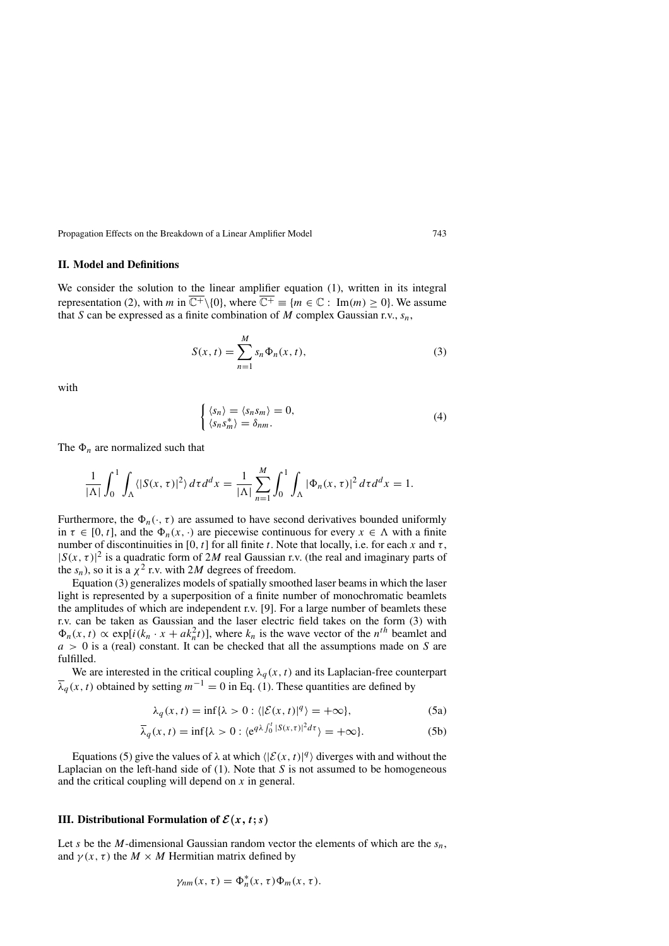### **II. Model and Definitions**

We consider the solution to the linear amplifier equation (1), written in its integral representation (2), with m in  $\overline{\mathbb{C}^+}\setminus\{0\}$ , where  $\overline{\mathbb{C}^+}\equiv\{m\in\mathbb{C}:\ \text{Im}(m)\geq 0\}$ . We assume that S can be expressed as a finite combination of M complex Gaussian r.v.,  $s_n$ ,

$$
S(x, t) = \sum_{n=1}^{M} s_n \Phi_n(x, t),
$$
 (3)

with

$$
\begin{cases} \langle s_n \rangle = \langle s_n s_m \rangle = 0, \\ \langle s_n s_m^* \rangle = \delta_{nm}. \end{cases} \tag{4}
$$

The  $\Phi_n$  are normalized such that

$$
\frac{1}{|\Lambda|} \int_0^1 \int_\Lambda \langle |S(x,\tau)|^2 \rangle d\tau d^dx = \frac{1}{|\Lambda|} \sum_{n=1}^M \int_0^1 \int_\Lambda |\Phi_n(x,\tau)|^2 d\tau d^dx = 1.
$$

Furthermore, the  $\Phi_n(\cdot, \tau)$  are assumed to have second derivatives bounded uniformly in  $\tau \in [0, t]$ , and the  $\Phi_n(x, \cdot)$  are piecewise continuous for every  $x \in \Lambda$  with a finite number of discontinuities in [0, t] for all finite t. Note that locally, i.e. for each x and  $\tau$ ,  $|S(x, \tau)|^2$  is a quadratic form of 2M real Gaussian r.v. (the real and imaginary parts of the  $s_n$ ), so it is a  $\chi^2$  r.v. with 2*M* degrees of freedom.

Equation (3) generalizes models of spatially smoothed laser beams in which the laser light is represented by a superposition of a finite number of monochromatic beamlets the amplitudes of which are independent r.v. [9]. For a large number of beamlets these r.v. can be taken as Gaussian and the laser electric field takes on the form (3) with  $\Phi_n(x, t) \propto \exp[i(k_n \cdot x + ak_n^2 t)]$ , where  $k_n$  is the wave vector of the  $n^{th}$  beamlet and  $a > 0$  is a (real) constant. It can be checked that all the assumptions made on S are fulfilled.

We are interested in the critical coupling  $\lambda_q(x, t)$  and its Laplacian-free counterpart  $\overline{\lambda}_q(x, t)$  obtained by setting  $m^{-1} = 0$  in Eq. (1). These quantities are defined by

$$
\lambda_q(x,t) = \inf \{ \lambda > 0 : \langle |\mathcal{E}(x,t)|^q \rangle = +\infty \},\tag{5a}
$$

$$
\overline{\lambda}_q(x,t) = \inf \{ \lambda > 0 : \langle e^{q\lambda \int_0^t |S(x,\tau)|^2 d\tau} \rangle = +\infty \}.
$$
 (5b)

Equations (5) give the values of  $\lambda$  at which  $\langle |\mathcal{E}(x, t)|^q \rangle$  diverges with and without the Laplacian on the left-hand side of  $(1)$ . Note that S is not assumed to be homogeneous and the critical coupling will depend on x in general.

### **III.** Distributional Formulation of  $\mathcal{E}(x, t; s)$

Let s be the M-dimensional Gaussian random vector the elements of which are the  $s_n$ , and  $\gamma(x, \tau)$  the  $M \times M$  Hermitian matrix defined by

$$
\gamma_{nm}(x,\tau)=\Phi_n^*(x,\tau)\Phi_m(x,\tau).
$$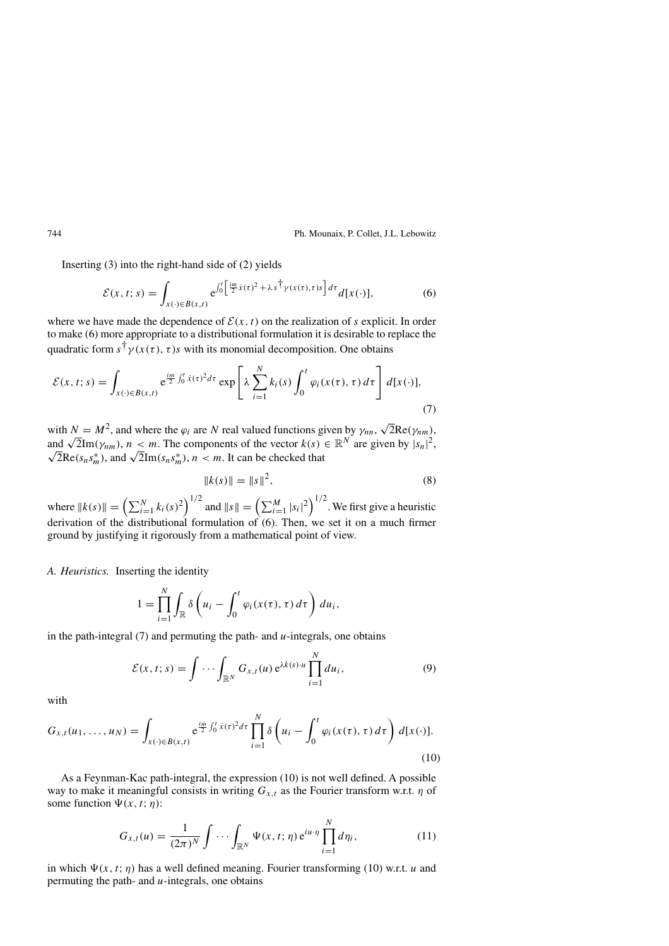Inserting (3) into the right-hand side of (2) yields

$$
\mathcal{E}(x,t;s) = \int_{x(\cdot) \in B(x,t)} e^{\int_0^t \left[\frac{im}{2}\dot{x}(\tau)^2 + \lambda s^{\frac{1}{\tau}} \gamma(x(\tau),\tau)s\right] d\tau} d[x(\cdot)],\tag{6}
$$

where we have made the dependence of  $\mathcal{E}(x, t)$  on the realization of s explicit. In order to make (6) more appropriate to a distributional formulation it is desirable to replace the quadratic form  $s^{\dagger} \hat{\gamma}(x(\tau), \tau) s$  with its monomial decomposition. One obtains

$$
\mathcal{E}(x,t;s) = \int_{x(\cdot) \in B(x,t)} e^{\frac{im}{2} \int_0^t \dot{x}(\tau)^2 d\tau} \exp\left[\lambda \sum_{i=1}^N k_i(s) \int_0^t \varphi_i(x(\tau),\tau) d\tau\right] d[x(\cdot)],\tag{7}
$$

with  $N = M^2$ , and where the  $\varphi_i$  are N real valued functions given by  $\gamma_{nn}$ ,  $\sqrt{2} \text{Re}(\gamma_{nm})$ , with  $N = M^2$ , and where the  $\varphi_i$  are N real valued functions given by  $\gamma_{nn}$ ,  $\sqrt{2}K\theta(\gamma_{nm})$ ,<br>and  $\sqrt{2}Im(\gamma_{nm})$ ,  $n \le m$ . The components of the vector  $k(s) \in \mathbb{R}^N$  are given by  $|s_n|^2$ ,  $\frac{d}{2} \sum_{n=1}^{\infty} \sum_{n=1}^{\infty} \frac{1}{n} \sum_{n=1}^{\infty} \sum_{n=1}^{\infty} \sum_{n=1}^{\infty} \frac{1}{n} \sum_{n=1}^{\infty} \sum_{n=1}^{\infty} \frac{1}{n} \sum_{n=1}^{\infty} \sum_{n=1}^{\infty} \frac{1}{n} \sum_{n=1}^{\infty} \frac{1}{n} \sum_{n=1}^{\infty} \frac{1}{n} \sum_{n=1}^{\infty} \frac{1}{n} \sum_{n=1}^{\infty} \frac{1}{n} \$ 

$$
||k(s)|| = ||s||^2,
$$
\n(8)

where  $||k(s)|| = \left(\sum_{i=1}^{N} k_i(s)^2\right)^{1/2}$  and  $||s|| = \left(\sum_{i=1}^{M} |s_i|^2\right)^{1/2}$ . We first give a heuristic derivation of the distributional formulation of (6). Then, we set it on a much firmer ground by justifying it rigorously from a mathematical point of view.

### *A. Heuristics.* Inserting the identity

$$
1 = \prod_{i=1}^N \int_{\mathbb{R}} \delta\left(u_i - \int_0^t \varphi_i(x(\tau), \tau) d\tau\right) du_i,
$$

in the path-integral  $(7)$  and permuting the path- and u-integrals, one obtains

$$
\mathcal{E}(x,t;s) = \int \cdots \int_{\mathbb{R}^N} G_{x,t}(u) e^{\lambda k(s) \cdot u} \prod_{i=1}^N du_i,
$$
 (9)

with

$$
G_{x,t}(u_1,\ldots,u_N) = \int_{x(\cdot)\in B(x,t)} e^{\frac{i m}{2}\int_0^t \dot{x}(\tau)^2 d\tau} \prod_{i=1}^N \delta\left(u_i - \int_0^t \varphi_i(x(\tau),\tau) d\tau\right) d[x(\cdot)].
$$
\n(10)

As a Feynman-Kac path-integral, the expression (10) is not well defined. A possible way to make it meaningful consists in writing  $G_{x,t}$  as the Fourier transform w.r.t.  $\eta$  of some function  $\Psi(x, t; \eta)$ :

$$
G_{x,t}(u) = \frac{1}{(2\pi)^N} \int \cdots \int_{\mathbb{R}^N} \Psi(x,t;\eta) e^{iu \cdot \eta} \prod_{i=1}^N d\eta_i,
$$
 (11)

in which  $\Psi(x, t; \eta)$  has a well defined meaning. Fourier transforming (10) w.r.t. u and permuting the path- and  $u$ -integrals, one obtains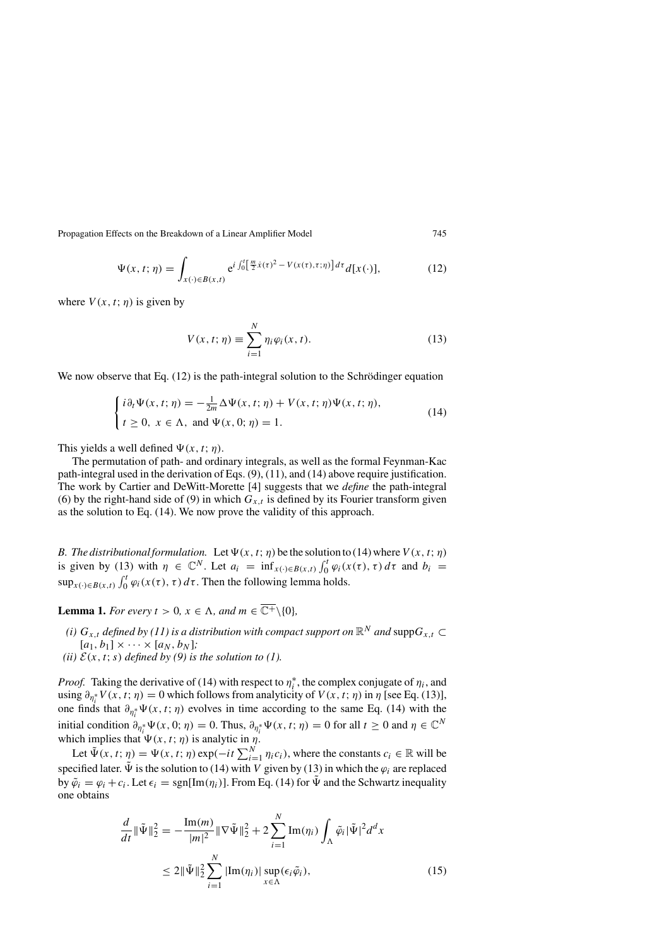Propagation Effects on the Breakdown of a Linear Amplifier Model 745

$$
\Psi(x,t;\eta) = \int_{x(\cdot) \in B(x,t)} e^{i \int_0^t \left[\frac{m}{2}\dot{x}(\tau)^2 - V(x(\tau),\tau;\eta)\right] d\tau} d[x(\cdot)],\tag{12}
$$

where  $V(x, t; \eta)$  is given by

$$
V(x, t; \eta) \equiv \sum_{i=1}^{N} \eta_i \varphi_i(x, t). \tag{13}
$$

We now observe that Eq.  $(12)$  is the path-integral solution to the Schrödinger equation

$$
\begin{cases}\ni\partial_t\Psi(x,t;\eta) = -\frac{1}{2m}\Delta\Psi(x,t;\eta) + V(x,t;\eta)\Psi(x,t;\eta), \\
t \ge 0, \ x \in \Lambda, \text{ and } \Psi(x,0;\eta) = 1.\n\end{cases}
$$
\n(14)

This yields a well defined  $\Psi(x, t; \eta)$ .

The permutation of path- and ordinary integrals, as well as the formal Feynman-Kac path-integral used in the derivation of Eqs. (9), (11), and (14) above require justification. The work by Cartier and DeWitt-Morette [4] suggests that we *define* the path-integral (6) by the right-hand side of (9) in which  $G_{x,t}$  is defined by its Fourier transform given as the solution to Eq. (14). We now prove the validity of this approach.

*B. The distributional formulation.* Let  $\Psi(x, t; \eta)$  be the solution to (14) where  $V(x, t; \eta)$ is given by (13) with  $\eta \in \mathbb{C}^N$ . Let  $a_i = \inf_{x(\cdot) \in B(x,t)} \int_0^t \varphi_i(x(\tau), \tau) d\tau$  and  $b_i =$  $\sup_{x(\cdot)\in B(x,t)} \int_0^t \varphi_i(x(\tau), \tau) d\tau$ . Then the following lemma holds.

**Lemma 1.** *For every*  $t > 0$ ,  $x \in \Lambda$ , and  $m \in \overline{\mathbb{C}^+}\setminus\{0\}$ ,

- *(i)*  $G_{x,t}$  *defined by (11) is a distribution with compact support on*  $\mathbb{R}^N$  *and* supp $G_{x,t}$  ⊂  $[a_1, b_1] \times \cdots \times [a_N, b_N];$
- *(ii)*  $\mathcal{E}(x, t; s)$  *defined by (9) is the solution to (1).*

*Proof.* Taking the derivative of (14) with respect to  $\eta_i^*$ , the complex conjugate of  $\eta_i$ , and using  $\partial_{\eta_i^*} V(x, t; \eta) = 0$  which follows from analyticity of  $V(x, t; \eta)$  in  $\eta$  [see Eq. (13)], one finds that  $\partial_{\eta_i^*}\Psi(x, t; \eta)$  evolves in time according to the same Eq. (14) with the initial condition  $\partial_{\eta_i^*} \Psi(x, 0; \eta) = 0$ . Thus,  $\partial_{\eta_i^*} \Psi(x, t; \eta) = 0$  for all  $t \ge 0$  and  $\eta \in \mathbb{C}^N$ which implies that  $\Psi(x, t; \eta)$  is analytic in  $\eta$ .

Let  $\tilde{\Psi}(x, t; \eta) = \Psi(x, t; \eta) \exp(-it \sum_{i=1}^{N} \eta_i c_i)$ , where the constants  $c_i \in \mathbb{R}$  will be specified later.  $\tilde{\Psi}$  is the solution to (14) with V given by (13) in which the  $\varphi_i$  are replaced by  $\tilde{\varphi}_i = \varphi_i + c_i$ . Let  $\epsilon_i = \text{sgn}[\text{Im}(\eta_i)]$ . From Eq. (14) for  $\tilde{\Psi}$  and the Schwartz inequality one obtains

$$
\frac{d}{dt} \|\tilde{\Psi}\|_2^2 = -\frac{\text{Im}(m)}{|m|^2} \|\nabla \tilde{\Psi}\|_2^2 + 2\sum_{i=1}^N \text{Im}(\eta_i) \int_{\Lambda} \tilde{\varphi}_i |\tilde{\Psi}|^2 d^d x
$$
  

$$
\leq 2 \|\tilde{\Psi}\|_2^2 \sum_{i=1}^N |\text{Im}(\eta_i)| \sup_{x \in \Lambda} (\epsilon_i \tilde{\varphi}_i), \tag{15}
$$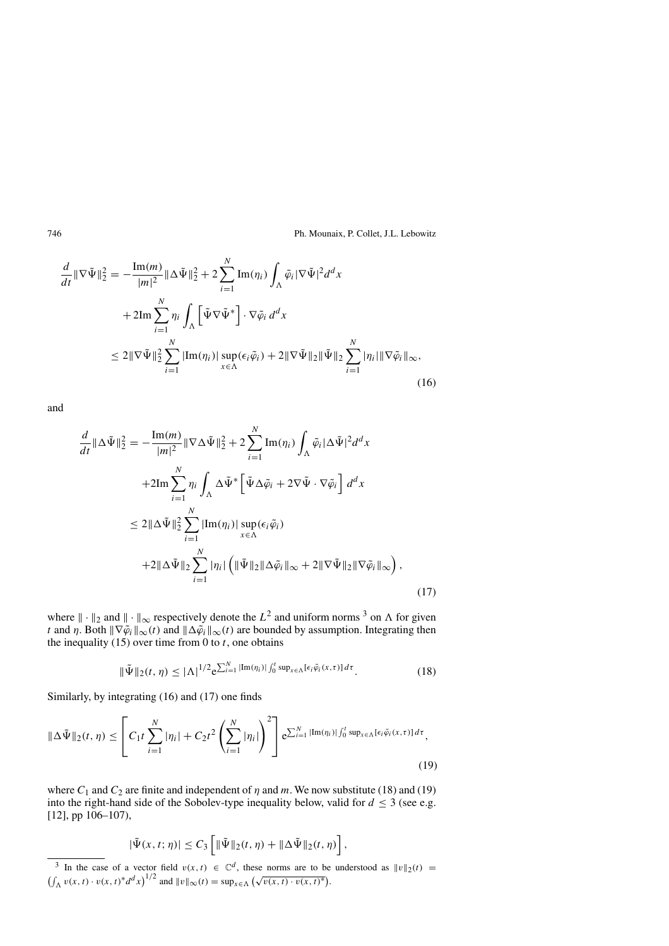$$
\frac{d}{dt} \|\nabla \tilde{\Psi}\|_{2}^{2} = -\frac{\text{Im}(m)}{|m|^{2}} \|\Delta \tilde{\Psi}\|_{2}^{2} + 2\sum_{i=1}^{N} \text{Im}(\eta_{i}) \int_{\Lambda} \tilde{\varphi}_{i} |\nabla \tilde{\Psi}|^{2} d^{d}x
$$

$$
+ 2\text{Im}\sum_{i=1}^{N} \eta_{i} \int_{\Lambda} \left[ \tilde{\Psi} \nabla \tilde{\Psi}^{*} \right] \cdot \nabla \tilde{\varphi}_{i} d^{d}x
$$

$$
\leq 2\|\nabla \tilde{\Psi}\|_{2}^{2} \sum_{i=1}^{N} |\text{Im}(\eta_{i})| \sup_{x \in \Lambda} (\epsilon_{i} \tilde{\varphi}_{i}) + 2\|\nabla \tilde{\Psi}\|_{2} \|\tilde{\Psi}\|_{2} \sum_{i=1}^{N} |\eta_{i}| \|\nabla \tilde{\varphi}_{i}\|_{\infty},
$$
(16)

and

$$
\frac{d}{dt} \|\Delta \tilde{\Psi}\|_{2}^{2} = -\frac{\text{Im}(m)}{|m|^{2}} \|\nabla \Delta \tilde{\Psi}\|_{2}^{2} + 2 \sum_{i=1}^{N} \text{Im}(\eta_{i}) \int_{\Lambda} \tilde{\varphi}_{i} |\Delta \tilde{\Psi}|^{2} d^{d}x
$$
  
+2\text{Im}\sum\_{i=1}^{N} \eta\_{i} \int\_{\Lambda} \Delta \tilde{\Psi}^{\*} \left[ \tilde{\Psi} \Delta \tilde{\varphi}\_{i} + 2 \nabla \tilde{\Psi} \cdot \nabla \tilde{\varphi}\_{i} \right] d^{d}x  

$$
\leq 2 \|\Delta \tilde{\Psi}\|_{2}^{2} \sum_{i=1}^{N} |\text{Im}(\eta_{i})| \sup_{x \in \Lambda} (\epsilon_{i} \tilde{\varphi}_{i})
$$
  
+2\|\Delta \tilde{\Psi}\|\_{2} \sum\_{i=1}^{N} |\eta\_{i}| \left( \|\tilde{\Psi}\|\_{2} \|\Delta \tilde{\varphi}\_{i}\|\_{\infty} + 2 \|\nabla \tilde{\Psi}\|\_{2} \|\nabla \tilde{\varphi}\_{i}\|\_{\infty} \right), \tag{17}

where  $\|\cdot\|_2$  and  $\|\cdot\|_{\infty}$  respectively denote the  $L^2$  and uniform norms <sup>3</sup> on  $\Lambda$  for given t and  $\eta$ . Both  $\|\nabla \tilde{\varphi}_i\|_{\infty}(t)$  and  $\|\Delta \tilde{\varphi}_i\|_{\infty}(t)$  are bounded by assumption. Integrating then the inequality (15) over time from 0 to  $t$ , one obtains

$$
\|\tilde{\Psi}\|_2(t,\eta) \le |\Lambda|^{1/2} e^{\sum_{i=1}^N |\text{Im}(\eta_i)| \int_0^t \sup_{x \in \Lambda} [\epsilon_i \tilde{\varphi}_i(x,\tau)] d\tau}.
$$
 (18)

Similarly, by integrating (16) and (17) one finds

$$
\|\Delta\tilde{\Psi}\|_2(t,\eta) \leq \left[C_1 t \sum_{i=1}^N |\eta_i| + C_2 t^2 \left(\sum_{i=1}^N |\eta_i|\right)^2\right] e^{\sum_{i=1}^N |\text{Im}(\eta_i)| \int_0^t \text{sup}_{x \in \Lambda} [\epsilon_i \tilde{\varphi}_i(x,\tau)] d\tau},\tag{19}
$$

where  $C_1$  and  $C_2$  are finite and independent of  $\eta$  and  $m$ . We now substitute (18) and (19) into the right-hand side of the Sobolev-type inequality below, valid for  $d \leq 3$  (see e.g. [12], pp 106–107),

$$
|\tilde{\Psi}(x,t;\eta)| \leq C_3 \left[ \|\tilde{\Psi}\|_2(t,\eta) + \|\Delta \tilde{\Psi}\|_2(t,\eta) \right],
$$

<sup>&</sup>lt;sup>3</sup> In the case of a vector field  $v(x, t) \in \mathbb{C}^d$ , these norms are to be understood as  $||v||_2(t) =$ where the value of a vector linear  $v(x, t) \in \mathbb{C}$ , these homes are to be  $\left(\int_{\Lambda} v(x, t) \cdot v(x, t)^* d^d x\right)^{1/2}$  and  $||v||_{\infty}(t) = \sup_{x \in \Lambda} \left(\sqrt{v(x, t) \cdot v(x, t)^*}\right)$ .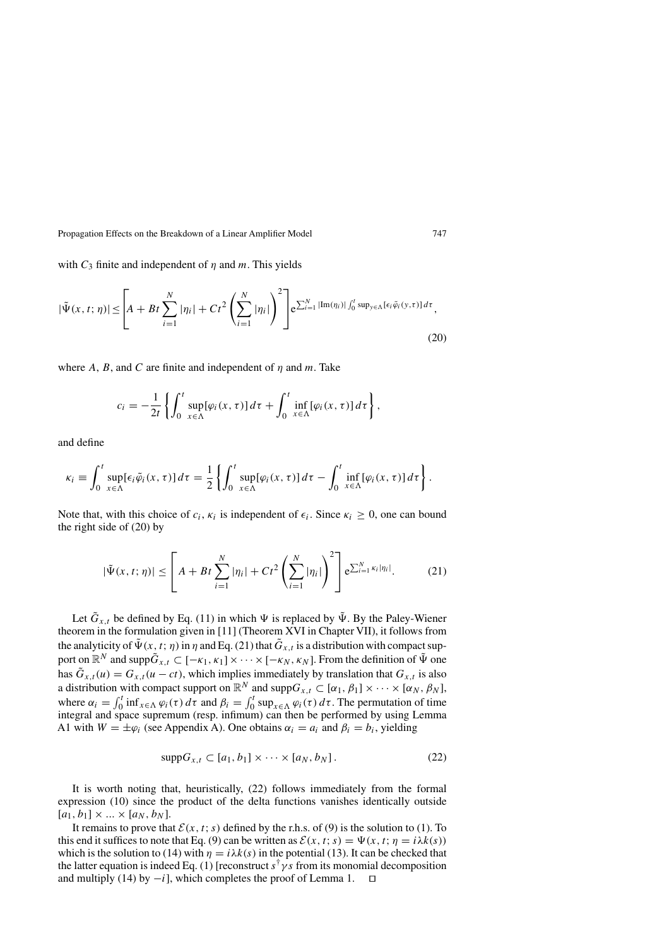with  $C_3$  finite and independent of  $\eta$  and  $m$ . This yields

$$
|\tilde{\Psi}(x,t;\eta)| \leq \left[A + Bt \sum_{i=1}^{N} |\eta_i| + Ct^2 \left(\sum_{i=1}^{N} |\eta_i|\right)^2\right] e^{\sum_{i=1}^{N} |\text{Im}(\eta_i)| \int_0^t \sup_{y \in \Lambda} [\epsilon_i \tilde{\varphi}_i(y,\tau)] d\tau},\tag{20}
$$

where A, B, and C are finite and independent of  $\eta$  and  $m$ . Take

$$
c_i = -\frac{1}{2t} \left\{ \int_0^t \sup_{x \in \Lambda} [\varphi_i(x, \tau)] d\tau + \int_0^t \inf_{x \in \Lambda} [\varphi_i(x, \tau)] d\tau \right\},\,
$$

and define

$$
\kappa_i \equiv \int_0^t \sup_{x \in \Lambda} [\epsilon_i \tilde{\varphi}_i(x, \tau)] d\tau = \frac{1}{2} \left\{ \int_0^t \sup_{x \in \Lambda} [\varphi_i(x, \tau)] d\tau - \int_0^t \inf_{x \in \Lambda} [\varphi_i(x, \tau)] d\tau \right\}.
$$

Note that, with this choice of  $c_i$ ,  $\kappa_i$  is independent of  $\epsilon_i$ . Since  $\kappa_i \geq 0$ , one can bound the right side of (20) by

$$
|\tilde{\Psi}(x,t;\eta)| \le \left[A + Bt \sum_{i=1}^{N} |\eta_i| + Ct^2 \left(\sum_{i=1}^{N} |\eta_i|\right)^2\right] e^{\sum_{i=1}^{N} \kappa_i |\eta_i|}.
$$
 (21)

Let  $\tilde{G}_{x,t}$  be defined by Eq. (11) in which  $\Psi$  is replaced by  $\tilde{\Psi}$ . By the Paley-Wiener theorem in the formulation given in [11] (Theorem XVI in Chapter VII), it follows from the analyticity of  $\tilde{\Psi}(x, t; \eta)$  in  $\eta$  and Eq. (21) that  $\tilde{G}_{x,t}$  is a distribution with compact support on  $\mathbb{R}^N$  and supp $\tilde{G}_{x,t} \subset [-\kappa_1, \kappa_1] \times \cdots \times [-\kappa_N, \kappa_N]$ . From the definition of  $\tilde{\Psi}$  one has  $\tilde{G}_{x,t}(u) = G_{x,t}(u - ct)$ , which implies immediately by translation that  $G_{x,t}$  is also a distribution with compact support on  $\mathbb{R}^N$  and  $\text{supp}G_{x,t} \subset [\alpha_1, \beta_1] \times \cdots \times [\alpha_N, \beta_N]$ , where  $\alpha_i = \int_0^t \inf_{x \in \Lambda} \varphi_i(\tau) d\tau$  and  $\beta_i = \int_0^t \sup_{x \in \Lambda} \varphi_i(\tau) d\tau$ . The permutation of time integral and space supremum (resp. infimum) can then be performed by using Lemma A1 with  $W = \pm \varphi_i$  (see Appendix A). One obtains  $\alpha_i = a_i$  and  $\beta_i = b_i$ , yielding

$$
\text{supp} G_{x,t} \subset [a_1, b_1] \times \cdots \times [a_N, b_N]. \tag{22}
$$

It is worth noting that, heuristically, (22) follows immediately from the formal expression (10) since the product of the delta functions vanishes identically outside  $[a_1, b_1] \times ... \times [a_N, b_N].$ 

It remains to prove that  $\mathcal{E}(x, t; s)$  defined by the r.h.s. of (9) is the solution to (1). To this end it suffices to note that Eq. (9) can be written as  $\mathcal{E}(x, t; s) = \Psi(x, t; \eta = i\lambda k(s))$ which is the solution to (14) with  $\eta = i\lambda k(s)$  in the potential (13). It can be checked that the latter equation is indeed Eq. (1) [reconstruct  $s^{\dagger} \gamma s$  from its monomial decomposition and multiply (14) by  $-i$ ], which completes the proof of Lemma 1.  $□$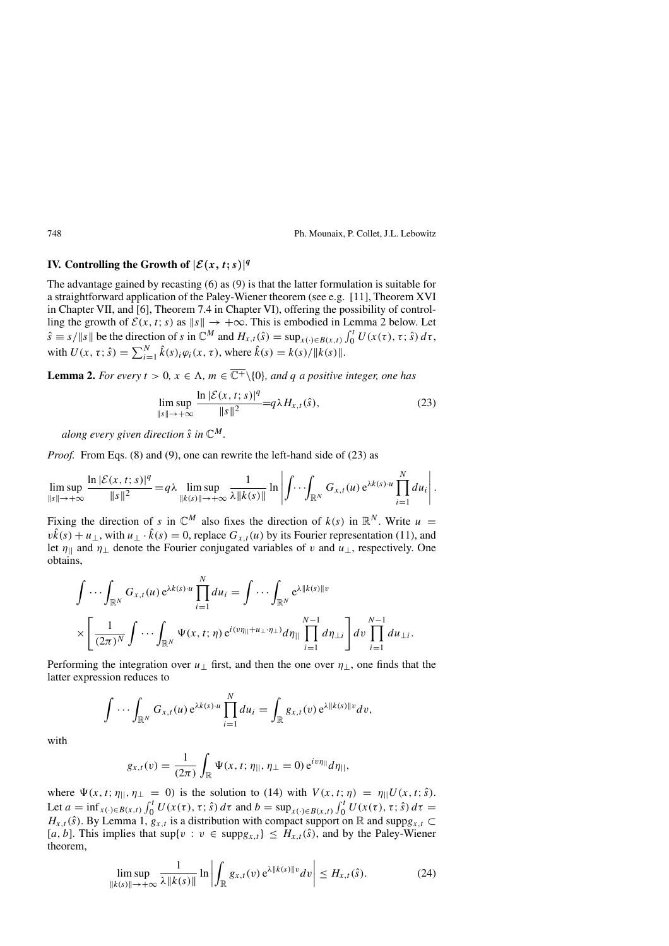## IV. Controlling the Growth of  $|\mathcal{E}(x, t; s)|^q$

The advantage gained by recasting (6) as (9) is that the latter formulation is suitable for a straightforward application of the Paley-Wiener theorem (see e.g. [11], Theorem XVI in Chapter VII, and [6], Theorem 7.4 in Chapter VI), offering the possibility of controlling the growth of  $\mathcal{E}(x, t; s)$  as  $||s|| \rightarrow +\infty$ . This is embodied in Lemma 2 below. Let  $\hat{s} \equiv s / \|s\|$  be the direction of s in  $\mathbb{C}^M$  and  $H_{x,t}(\hat{s}) = \sup_{x \in \mathcal{B}(x,t)} \int_0^t U(x(\tau), \tau; \hat{s}) d\tau$ , with  $U(x, \tau; \hat{s}) = \sum_{i=1}^{N} \hat{k}(s_i) \varphi_i(x, \tau)$ , where  $\hat{k}(s) = k(s) / ||k(s)||$ .

**Lemma 2.** *For every*  $t > 0$ ,  $x \in \Lambda$ ,  $m \in \overline{\mathbb{C}^+}\setminus\{0\}$ , and q a positive integer, one has

$$
\limsup_{\|s\| \to +\infty} \frac{\ln |\mathcal{E}(x, t; s)|^q}{\|s\|^2} = q\lambda H_{x,t}(\hat{s}),\tag{23}
$$

*along every given direction*  $\hat{s}$  *in*  $\mathbb{C}^M$ .

*Proof.* From Eqs. (8) and (9), one can rewrite the left-hand side of (23) as

$$
\limsup_{\|s\|\to+\infty}\frac{\ln |\mathcal{E}(x,t;s)|^q}{\|s\|^2}=q\lambda\limsup_{\|k(s)\|\to+\infty}\frac{1}{\lambda\|k(s)\|}\ln \left|\int\!\!\cdots\!\!\int_{\mathbb{R}^N}G_{x,t}(u)\,\mathrm{e}^{\lambda k(s)\cdot u}\prod_{i=1}^N du_i\right|.
$$

Fixing the direction of s in  $\mathbb{C}^M$  also fixes the direction of  $k(s)$  in  $\mathbb{R}^N$ . Write  $u =$  $v\hat{k}(s) + u_{\perp}$ , with  $u_{\perp} \cdot \hat{k}(s) = 0$ , replace  $G_{x,t}(u)$  by its Fourier representation (11), and let  $\eta_{\parallel}$  and  $\eta_{\perp}$  denote the Fourier conjugated variables of v and  $u_{\perp}$ , respectively. One obtains,

$$
\int \cdots \int_{\mathbb{R}^N} G_{x,t}(u) e^{\lambda k(s) \cdot u} \prod_{i=1}^N du_i = \int \cdots \int_{\mathbb{R}^N} e^{\lambda ||k(s)||v}
$$
\n
$$
\times \left[ \frac{1}{(2\pi)^N} \int \cdots \int_{\mathbb{R}^N} \Psi(x,t;\eta) e^{i(v\eta||+u_\perp \cdot \eta_\perp)} d\eta || \prod_{i=1}^{N-1} d\eta_{\perp i} \right] dv \prod_{i=1}^{N-1} du_{\perp i}.
$$

Performing the integration over  $u_{\perp}$  first, and then the one over  $\eta_{\perp}$ , one finds that the latter expression reduces to

$$
\int \cdots \int_{\mathbb{R}^N} G_{x,t}(u) e^{\lambda k(s) \cdot u} \prod_{i=1}^N du_i = \int_{\mathbb{R}} g_{x,t}(v) e^{\lambda \|k(s)\| \cdot v} dv,
$$

with

$$
g_{x,t}(v) = \frac{1}{(2\pi)} \int_{\mathbb{R}} \Psi(x, t; \eta_{||}, \eta_{\perp} = 0) e^{iv\eta_{||}} d\eta_{||},
$$

where  $\Psi(x, t; \eta_{\parallel}, \eta_{\perp} = 0)$  is the solution to (14) with  $V(x, t; \eta) = \eta_{\parallel} U(x, t; \hat{s})$ . Let  $a = \inf_{x(\cdot) \in B(x,t)} \int_0^t U(x(\tau), \tau; \hat{s}) d\tau$  and  $b = \sup_{x(\cdot) \in B(x,t)} \int_0^t U(x(\tau), \tau; \hat{s}) d\tau =$  $H_{x,t}(\hat{s})$ . By Lemma 1,  $g_{x,t}$  is a distribution with compact support on R and supp $g_{x,t} \subset$ [a, b]. This implies that  $\sup\{v : v \in \text{supp}g_{x,t}\}\leq H_{x,t}(\hat{s})$ , and by the Paley-Wiener theorem,

$$
\limsup_{\|k(s)\| \to +\infty} \frac{1}{\lambda \|k(s)\|} \ln \left| \int_{\mathbb{R}} g_{x,t}(v) e^{\lambda \|k(s)\| v} dv \right| \leq H_{x,t}(\hat{s}). \tag{24}
$$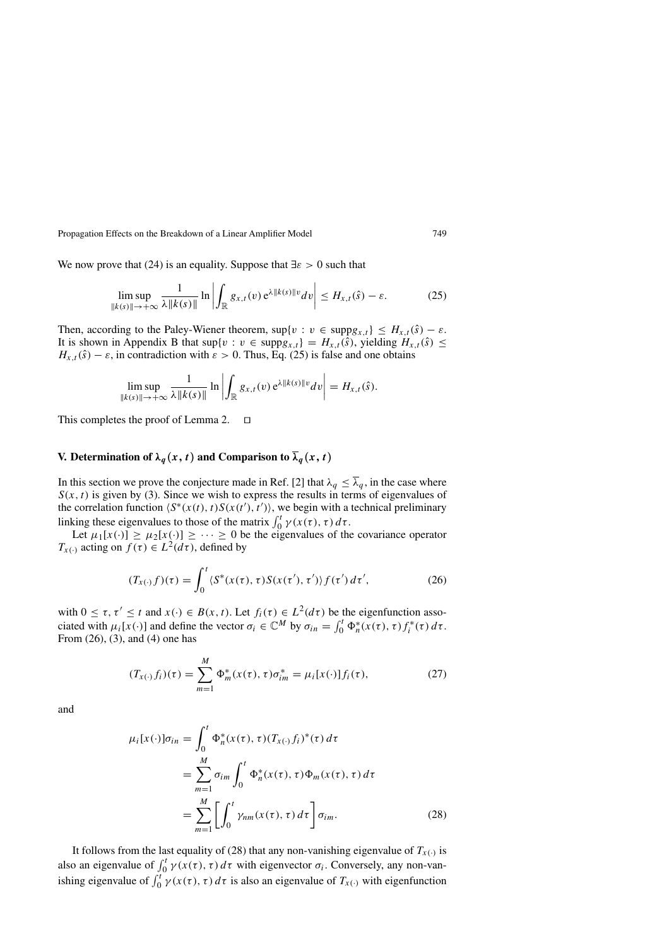We now prove that (24) is an equality. Suppose that  $\exists \varepsilon > 0$  such that

$$
\limsup_{\|k(s)\| \to +\infty} \frac{1}{\lambda \|k(s)\|} \ln \left| \int_{\mathbb{R}} g_{x,t}(v) e^{\lambda \|k(s)\| v} dv \right| \leq H_{x,t}(\hat{s}) - \varepsilon. \tag{25}
$$

Then, according to the Paley-Wiener theorem,  $\sup\{v : v \in \text{supp}g_{x,t}\}\leq H_{x,t}(\hat{s})-\varepsilon$ . It is shown in Appendix B that  $\sup\{v : v \in \text{supp}g_{x,t}\} = H_{x,t}(\hat{s})$ , yielding  $H_{x,t}(\hat{s}) \leq$  $H_{x,t}(\hat{s}) - \varepsilon$ , in contradiction with  $\varepsilon > 0$ . Thus, Eq. (25) is false and one obtains

$$
\limsup_{\|k(s)\| \to +\infty} \frac{1}{\lambda \|k(s)\|} \ln \left| \int_{\mathbb{R}} g_{x,t}(v) e^{\lambda \|k(s)\| v} dv \right| = H_{x,t}(\hat{s}).
$$

This completes the proof of Lemma 2.  $\Box$ 

### **V.** Determination of  $\lambda_q(x, t)$  and Comparison to  $\overline{\lambda}_q(x, t)$

In this section we prove the conjecture made in Ref. [2] that  $\lambda_q \leq \overline{\lambda}_q$ , in the case where  $S(x, t)$  is given by (3). Since we wish to express the results in terms of eigenvalues of the correlation function  $\langle S^*(x(t), t)S(x(t'), t')\rangle$ , we begin with a technical preliminary linking these eigenvalues to those of the matrix  $\int_0^t \gamma(x(\tau), \tau) d\tau$ .

Let  $\mu_1[x(\cdot)] \geq \mu_2[x(\cdot)] \geq \cdots \geq 0$  be the eigenvalues of the covariance operator  $T_{x(.)}$  acting on  $f(\tau) \in L^2(d\tau)$ , defined by

$$
(T_{x(\cdot)}f)(\tau) = \int_0^t \langle S^*(x(\tau), \tau) S(x(\tau'), \tau') \rangle f(\tau') d\tau', \qquad (26)
$$

with  $0 \le \tau, \tau' \le t$  and  $x(\cdot) \in B(x, t)$ . Let  $f_i(\tau) \in L^2(d\tau)$  be the eigenfunction associated with  $\mu_i[x(\cdot)]$  and define the vector  $\sigma_i \in \mathbb{C}^M$  by  $\sigma_{in} = \int_0^t \Phi_n^*(x(\tau), \tau) f_i^*(\tau) d\tau$ . From (26), (3), and (4) one has

$$
(T_{x(\cdot)}f_i)(\tau) = \sum_{m=1}^{M} \Phi_m^*(x(\tau), \tau) \sigma_{im}^* = \mu_i[x(\cdot)] f_i(\tau), \qquad (27)
$$

and

$$
\mu_i[x(\cdot)]\sigma_{in} = \int_0^t \Phi_n^*(x(\tau), \tau) (T_{x(\cdot)} f_i)^*(\tau) d\tau
$$
  
\n
$$
= \sum_{m=1}^M \sigma_{im} \int_0^t \Phi_n^*(x(\tau), \tau) \Phi_m(x(\tau), \tau) d\tau
$$
  
\n
$$
= \sum_{m=1}^M \left[ \int_0^t \gamma_{nm}(x(\tau), \tau) d\tau \right] \sigma_{im}.
$$
 (28)

It follows from the last equality of (28) that any non-vanishing eigenvalue of  $T_{x(·)}$  is also an eigenvalue of  $\int_0^t \gamma(x(\tau), \tau) d\tau$  with eigenvector  $\sigma_i$ . Conversely, any non-vanishing eigenvalue of  $\int_0^t \gamma(x(\tau), \tau) d\tau$  is also an eigenvalue of  $T_{x(\cdot)}$  with eigenfunction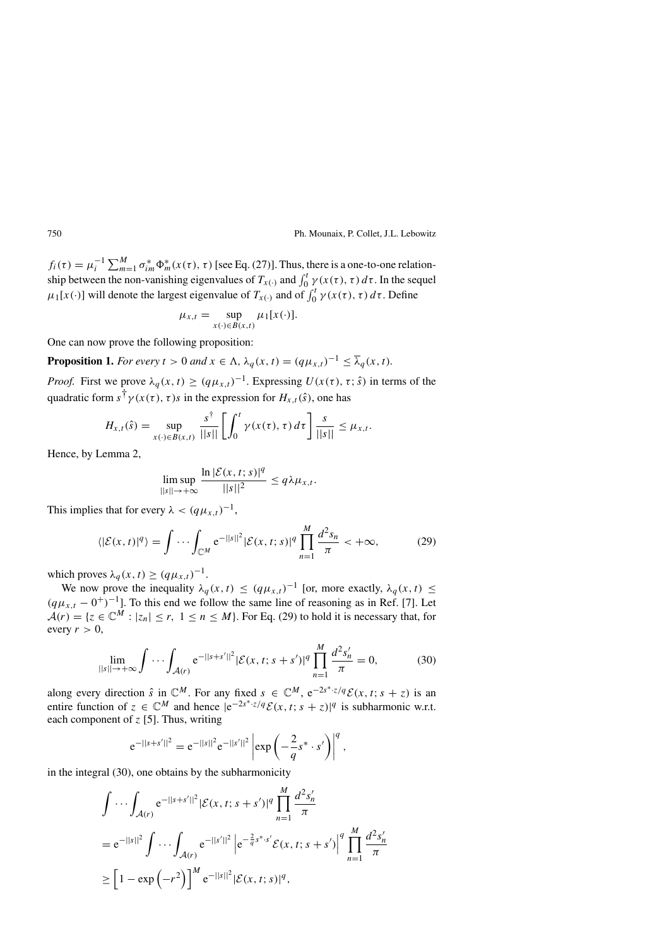$f_i(\tau) = \mu_i^{-1} \sum_{m=1}^M \sigma_{im}^* \Phi_m^*(x(\tau), \tau)$  [see Eq. (27)]. Thus, there is a one-to-one relationship between the non-vanishing eigenvalues of  $T_{x(·)}$  and  $\int_0^t \gamma(x(\tau), \tau) d\tau$ . In the sequel  $\mu_1[x(\cdot)]$  will denote the largest eigenvalue of  $T_{x(\cdot)}$  and of  $\int_0^t \gamma(x(\tau), \tau) d\tau$ . Define

$$
\mu_{x,t} = \sup_{x(\cdot) \in B(x,t)} \mu_1[x(\cdot)].
$$

One can now prove the following proposition:

**Proposition 1.** *For every*  $t > 0$  *and*  $x \in \Lambda$ ,  $\lambda_q(x, t) = (q\mu_{x,t})^{-1} \leq \overline{\lambda}_q(x, t)$ *.* 

*Proof.* First we prove  $\lambda_q(x, t) \geq (q\mu_{x,t})^{-1}$ . Expressing  $U(x(\tau), \tau; \hat{s})$  in terms of the quadratic form  $s^{\dagger} \gamma(x(\tau), \tau)s$  in the expression for  $H_{x,t}(\hat{s})$ , one has

$$
H_{x,t}(\hat{s}) = \sup_{x(\cdot) \in B(x,t)} \frac{s^{\dagger}}{||s||} \left[ \int_0^t \gamma(x(\tau), \tau) d\tau \right] \frac{s}{||s||} \leq \mu_{x,t}.
$$

Hence, by Lemma 2,

$$
\limsup_{\|s\|\to+\infty}\frac{\ln |\mathcal{E}(x,t;s)|^q}{\|s\|^2}\leq q\lambda\mu_{x,t}.
$$

This implies that for every  $\lambda < (q\mu_{x,t})^{-1}$ ,

$$
\langle |\mathcal{E}(x,t)|^q \rangle = \int \cdots \int_{\mathbb{C}^M} e^{-||s||^2} |\mathcal{E}(x,t;s)|^q \prod_{n=1}^M \frac{d^2 s_n}{\pi} < +\infty,
$$
 (29)

which proves  $\lambda_q(x, t) \geq (q\mu_{x,t})^{-1}$ .

We now prove the inequality  $\lambda_q(x, t) \leq (q\mu_{x,t})^{-1}$  [or, more exactly,  $\lambda_q(x, t) \leq$  $(q\mu_{x,t} - 0^+)^{-1}$ ]. To this end we follow the same line of reasoning as in Ref. [7]. Let  $A(r) = \{z \in \mathbb{C}^M : |z_n| \le r, 1 \le n \le M\}$ . For Eq. (29) to hold it is necessary that, for every  $r > 0$ ,

$$
\lim_{||s|| \to +\infty} \int \cdots \int_{\mathcal{A}(r)} e^{-||s+s'||^2} |\mathcal{E}(x, t; s+s')|^q \prod_{n=1}^M \frac{d^2 s'_n}{\pi} = 0,
$$
 (30)

along every direction  $\hat{s}$  in  $\mathbb{C}^M$ . For any fixed  $s \in \mathbb{C}^M$ ,  $e^{-2s^*z/q}\mathcal{E}(x, t; s + z)$  is an entire function of  $z \in \mathbb{C}^M$  and hence  $|e^{-2s^* \cdot z/q} \mathcal{E}(x, t; s + z)|^q$  is subharmonic w.r.t. each component of  $z$  [5]. Thus, writing

$$
e^{-||s+s'||^2} = e^{-||s||^2} e^{-||s'||^2} \left| \exp \left( -\frac{2}{q} s^* \cdot s' \right) \right|^q,
$$

in the integral (30), one obtains by the subharmonicity

$$
\int \cdots \int_{\mathcal{A}(r)} e^{-||s+s'||^2} |\mathcal{E}(x, t; s + s')|^q \prod_{n=1}^M \frac{d^2 s'_n}{\pi}
$$
  
=  $e^{-||s||^2} \int \cdots \int_{\mathcal{A}(r)} e^{-||s'||^2} |e^{-\frac{2}{q}s^* \cdot s'} \mathcal{E}(x, t; s + s')|^q \prod_{n=1}^M \frac{d^2 s'_n}{\pi}$   
 $\geq [1 - \exp(-r^2)]^M e^{-||s||^2} |\mathcal{E}(x, t; s)|^q,$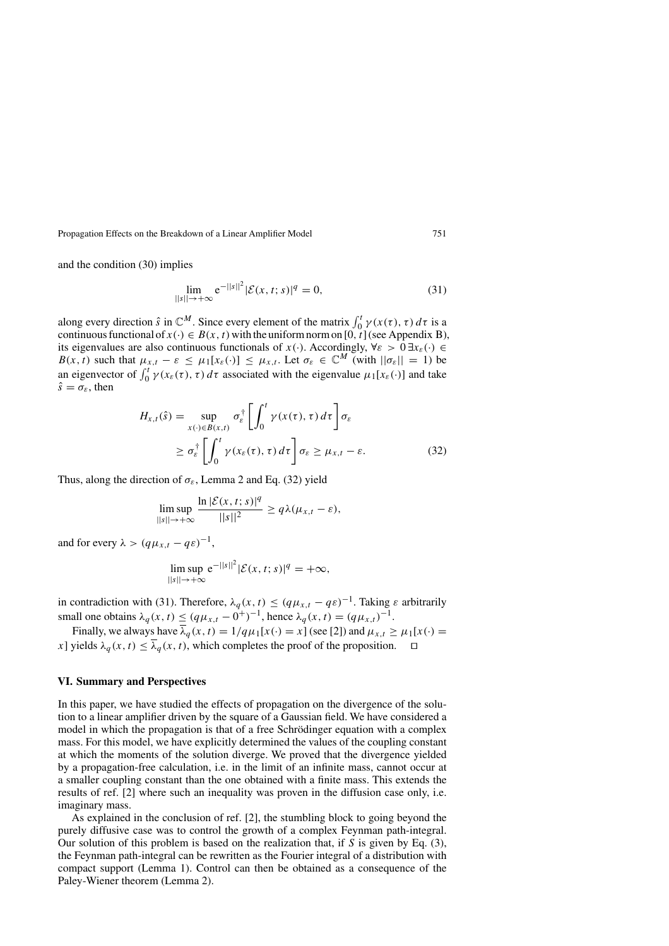and the condition (30) implies

$$
\lim_{||s|| \to +\infty} e^{-||s||^2} |\mathcal{E}(x, t; s)|^q = 0,
$$
\n(31)

along every direction  $\hat{s}$  in  $\mathbb{C}^M$ . Since every element of the matrix  $\int_0^t \gamma(x(\tau), \tau) d\tau$  is a continuous functional of  $x(\cdot) \in B(x, t)$  with the uniform norm on  $[0, t]$  (see Appendix B), its eigenvalues are also continuous functionals of  $x(\cdot)$ . Accordingly,  $\forall \varepsilon > 0 \exists x_{\varepsilon}(\cdot) \in$  $B(x, t)$  such that  $\mu_{x,t} - \varepsilon \leq \mu_1[x_\varepsilon(\cdot)] \leq \mu_{x,t}$ . Let  $\sigma_{\varepsilon} \in \mathbb{C}^M$  (with  $||\sigma_{\varepsilon}|| = 1$ ) be an eigenvector of  $\int_0^t \gamma(x_\varepsilon(\tau), \tau) d\tau$  associated with the eigenvalue  $\mu_1[x_\varepsilon(\cdot)]$  and take  $\hat{s} = \sigma_{\varepsilon}$ , then

$$
H_{x,t}(\hat{s}) = \sup_{x(\cdot) \in B(x,t)} \sigma_{\varepsilon}^{\dagger} \left[ \int_0^t \gamma(x(\tau), \tau) d\tau \right] \sigma_{\varepsilon}
$$
  
 
$$
\geq \sigma_{\varepsilon}^{\dagger} \left[ \int_0^t \gamma(x_{\varepsilon}(\tau), \tau) d\tau \right] \sigma_{\varepsilon} \geq \mu_{x,t} - \varepsilon.
$$
 (32)

Thus, along the direction of  $\sigma_{\varepsilon}$ , Lemma 2 and Eq. (32) yield

$$
\limsup_{\|s\|\to+\infty}\frac{\ln |\mathcal{E}(x,t;s)|^q}{\|s\|^2}\geq q\lambda(\mu_{x,t}-\varepsilon),
$$

and for every  $\lambda > (q\mu_{x,t} - q\varepsilon)^{-1}$ ,

$$
\limsup_{||s|| \to +\infty} e^{-||s||^2} |\mathcal{E}(x, t; s)|^q = +\infty,
$$

in contradiction with (31). Therefore,  $\lambda_q(x, t) \leq (q\mu_{x,t} - q\varepsilon)^{-1}$ . Taking  $\varepsilon$  arbitrarily small one obtains  $\lambda_q(x, t) \leq (q\mu_{x,t} - 0^+)^{-1}$ , hence  $\lambda_q(x, t) = (q\mu_{x,t})^{-1}$ .

Finally, we always have  $\overline{\lambda}_q(x, t) = 1/q\mu_1[x(\cdot) = x]$  (see [2]) and  $\mu_{x,t} \ge \mu_1[x(\cdot) = x]$ x] yields  $\lambda_q(x, t) \leq \overline{\lambda}_q(x, t)$ , which completes the proof of the proposition.

### **VI. Summary and Perspectives**

In this paper, we have studied the effects of propagation on the divergence of the solution to a linear amplifier driven by the square of a Gaussian field. We have considered a model in which the propagation is that of a free Schrödinger equation with a complex mass. For this model, we have explicitly determined the values of the coupling constant at which the moments of the solution diverge. We proved that the divergence yielded by a propagation-free calculation, i.e. in the limit of an infinite mass, cannot occur at a smaller coupling constant than the one obtained with a finite mass. This extends the results of ref. [2] where such an inequality was proven in the diffusion case only, i.e. imaginary mass.

As explained in the conclusion of ref. [2], the stumbling block to going beyond the purely diffusive case was to control the growth of a complex Feynman path-integral. Our solution of this problem is based on the realization that, if S is given by Eq.  $(3)$ , the Feynman path-integral can be rewritten as the Fourier integral of a distribution with compact support (Lemma 1). Control can then be obtained as a consequence of the Paley-Wiener theorem (Lemma 2).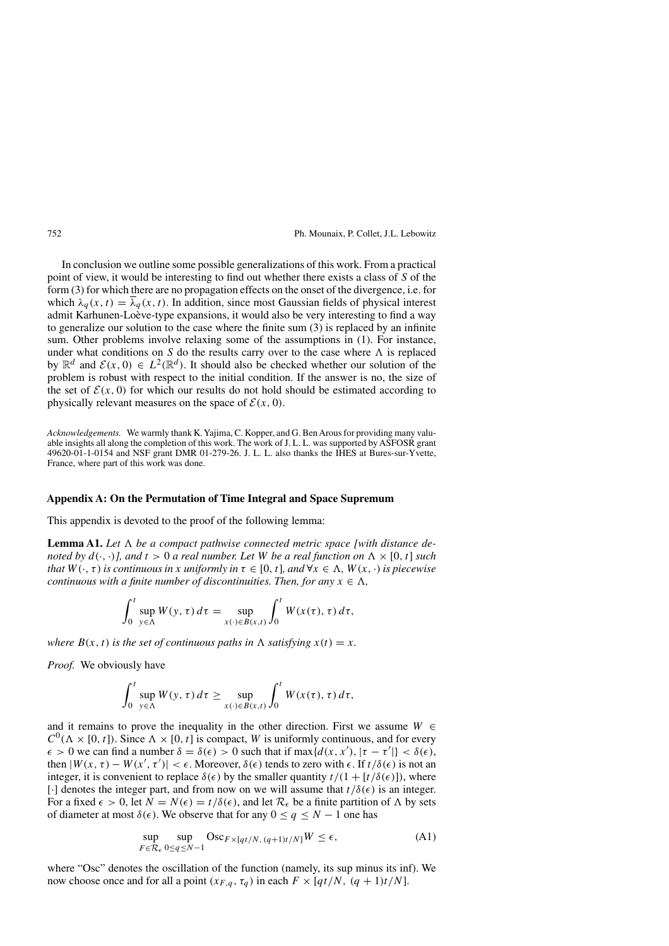In conclusion we outline some possible generalizations of this work. From a practical point of view, it would be interesting to find out whether there exists a class of S of the form (3) for which there are no propagation effects on the onset of the divergence, i.e. for which  $\lambda_q(x, t) = \overline{\lambda}_q(x, t)$ . In addition, since most Gaussian fields of physical interest admit Karhunen-Loève-type expansions, it would also be very interesting to find a way to generalize our solution to the case where the finite sum (3) is replaced by an infinite sum. Other problems involve relaxing some of the assumptions in (1). For instance, under what conditions on  $S$  do the results carry over to the case where  $\Lambda$  is replaced by  $\mathbb{R}^d$  and  $\mathcal{E}(x, 0) \in L^2(\mathbb{R}^d)$ . It should also be checked whether our solution of the problem is robust with respect to the initial condition. If the answer is no, the size of the set of  $\mathcal{E}(x, 0)$  for which our results do not hold should be estimated according to physically relevant measures on the space of  $\mathcal{E}(x, 0)$ .

*Acknowledgements.* We warmly thank K.Yajima, C. Kopper, and G. Ben Arous for providing many valuable insights all along the completion of this work. The work of J. L. L. was supported by ASFOSR grant 49620-01-1-0154 and NSF grant DMR 01-279-26. J. L. L. also thanks the IHES at Bures-sur-Yvette, France, where part of this work was done.

### **Appendix A: On the Permutation of Time Integral and Space Supremum**

This appendix is devoted to the proof of the following lemma:

**Lemma A1.** Let  $\Lambda$  be a compact pathwise connected metric space [with distance de*noted by*  $d(\cdot, \cdot)$ *, and*  $t > 0$  *a real number. Let* W *be a real function on*  $\Lambda \times [0, t]$  *such that*  $W(\cdot, \tau)$  *is continuous in* x *uniformly in*  $\tau \in [0, t]$ *, and*  $\forall x \in \Lambda$ *,*  $W(x, \cdot)$  *is piecewise continuous with a finite number of discontinuities. Then, for any*  $x \in \Lambda$ ,

$$
\int_0^t \sup_{y \in \Lambda} W(y, \tau) d\tau = \sup_{x(\cdot) \in B(x,t)} \int_0^t W(x(\tau), \tau) d\tau,
$$

*where*  $B(x, t)$  *is the set of continuous paths in*  $\Lambda$  *satisfying*  $x(t) = x$ *.* 

*Proof.* We obviously have

$$
\int_0^t \sup_{y \in \Lambda} W(y, \tau) d\tau \ge \sup_{x(\cdot) \in B(x,t)} \int_0^t W(x(\tau), \tau) d\tau,
$$

and it remains to prove the inequality in the other direction. First we assume  $W \in$  $C^0(\Lambda \times [0, t])$ . Since  $\Lambda \times [0, t]$  is compact, W is uniformly continuous, and for every  $\epsilon > 0$  we can find a number  $\delta = \delta(\epsilon) > 0$  such that if max $\{d(x, x'), |\tau - \tau'|\} < \delta(\epsilon)$ , then  $|W(x, \tau) - W(x', \tau')| < \epsilon$ . Moreover,  $\delta(\epsilon)$  tends to zero with  $\epsilon$ . If  $t/\delta(\epsilon)$  is not an integer, it is convenient to replace  $\delta(\epsilon)$  by the smaller quantity  $t/(1 + [t/\delta(\epsilon)])$ , where [·] denotes the integer part, and from now on we will assume that  $t/\delta(\epsilon)$  is an integer. For a fixed  $\epsilon > 0$ , let  $N = N(\epsilon) = t/\delta(\epsilon)$ , and let  $\mathcal{R}_{\epsilon}$  be a finite partition of  $\Lambda$  by sets of diameter at most  $\delta(\epsilon)$ . We observe that for any  $0 \le q \le N - 1$  one has

$$
\sup_{F \in \mathcal{R}_{\epsilon}} \sup_{0 \le q \le N-1} \text{Osc}_{F \times [qt/N, (q+1)t/N]} W \le \epsilon,
$$
\n(A1)

where "Osc" denotes the oscillation of the function (namely, its sup minus its inf). We now choose once and for all a point  $(x_{F,q}, \tau_q)$  in each  $F \times [qt/N, (q+1)t/N]$ .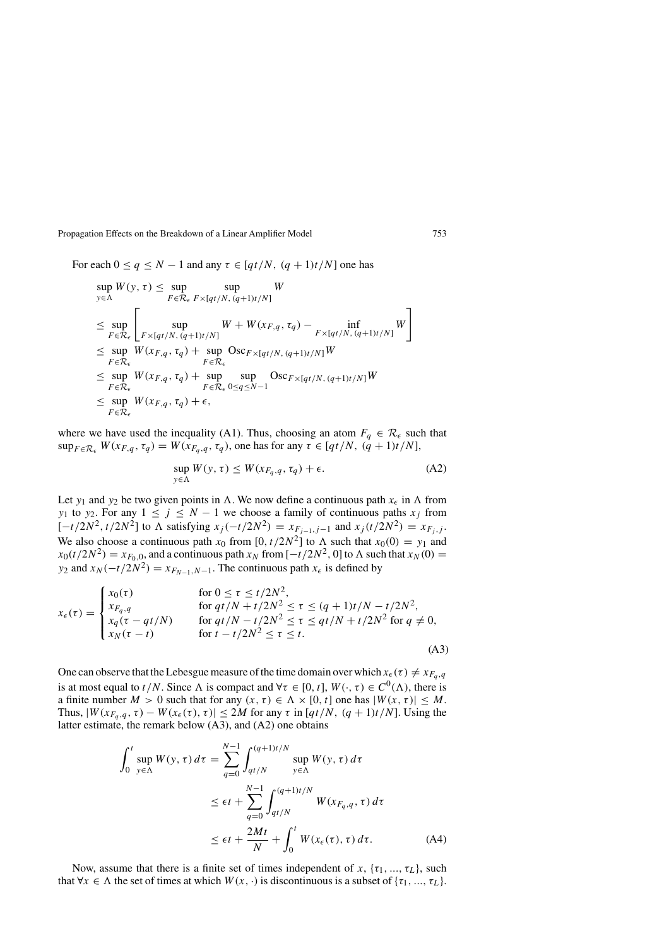For each  $0 \le q \le N - 1$  and any  $\tau \in [qt/N, (q + 1)t/N]$  one has

$$
\sup_{y \in \Lambda} W(y, \tau) \leq \sup_{F \in \mathcal{R}_{\epsilon}} \sup_{F \times [qt/N, (q+1)t/N]} W
$$
\n
$$
\leq \sup_{F \in \mathcal{R}_{\epsilon}} \left[ \sup_{F \times [qt/N, (q+1)t/N]} W + W(x_{F,q}, \tau_q) - \inf_{F \times [qt/N, (q+1)t/N]} W \right]
$$
\n
$$
\leq \sup_{F \in \mathcal{R}_{\epsilon}} W(x_{F,q}, \tau_q) + \sup_{F \in \mathcal{R}_{\epsilon}} \operatorname{Osc}_{F \times [qt/N, (q+1)t/N]} W
$$
\n
$$
\leq \sup_{F \in \mathcal{R}_{\epsilon}} W(x_{F,q}, \tau_q) + \sup_{F \in \mathcal{R}_{\epsilon}} \sup_{0 \leq q \leq N-1} \operatorname{Osc}_{F \times [qt/N, (q+1)t/N]} W
$$
\n
$$
\leq \sup_{F \in \mathcal{R}_{\epsilon}} W(x_{F,q}, \tau_q) + \epsilon,
$$

where we have used the inequality (A1). Thus, choosing an atom  $F_q \in \mathcal{R}_{\epsilon}$  such that  $\sup_{F \in \mathcal{R}_{\epsilon}} W(x_{F,q}, \tau_q) = W(x_{F_q,q}, \tau_q)$ , one has for any  $\tau \in [qt/N, (q+1)t/N]$ ,

$$
\sup_{y \in \Lambda} W(y, \tau) \le W(x_{F_q, q}, \tau_q) + \epsilon. \tag{A2}
$$

Let  $y_1$  and  $y_2$  be two given points in  $\Lambda$ . We now define a continuous path  $x_{\epsilon}$  in  $\Lambda$  from y<sub>1</sub> to y<sub>2</sub>. For any  $1 \le j \le N - 1$  we choose a family of continuous paths  $x_j$  from  $[-t/2N^2, t/2N^2]$  to  $\Lambda$  satisfying  $x_j(-t/2N^2) = x_{F_{j-1},j-1}$  and  $x_j(t/2N^2) = x_{F_j,j}$ . We also choose a continuous path  $x_0$  from [0,  $t/2N^2$ ] to  $\Lambda$  such that  $x_0(0) = y_1$  and  $x_0(t/2N^2) = x_{F_0,0}$ , and a continuous path  $x_N$  from [ $-t/2N^2$ , 0] to  $\Lambda$  such that  $x_N(0) =$  $y_2$  and  $x_N(-t/2N^2) = x_{F_{N-1},N-1}$ . The continuous path  $x_\epsilon$  is defined by

$$
x_{\epsilon}(\tau) = \begin{cases} x_0(\tau) & \text{for } 0 \le \tau \le t/2N^2, \\ x_{F_q,q} & \text{for } qt/N + t/2N^2 \le \tau \le (q+1)t/N - t/2N^2, \\ x_q(\tau - qt/N) & \text{for } qt/N - t/2N^2 \le \tau \le qt/N + t/2N^2 \text{ for } q \ne 0, \\ x_N(\tau - t) & \text{for } t - t/2N^2 \le \tau \le t. \end{cases}
$$
(A3)

One can observe that the Lebesgue measure of the time domain over which  $x_{\epsilon}(\tau) \neq x_{F_q,q}$ is at most equal to t/N. Since  $\Lambda$  is compact and  $\forall \tau \in [0, t]$ ,  $W(\cdot, \tau) \in C^{0}(\Lambda)$ , there is a finite number  $M > 0$  such that for any  $(x, \tau) \in \Lambda \times [0, t]$  one has  $|W(x, \tau)| \leq M$ . Thus,  $|W(x_{F_q,q}, \tau) - W(x_{\epsilon}(\tau), \tau)| \leq 2M$  for any  $\tau$  in [qt/N, (q + 1)t/N]. Using the latter estimate, the remark below (A3), and (A2) one obtains

$$
\int_{0}^{t} \sup_{y \in \Lambda} W(y, \tau) d\tau = \sum_{q=0}^{N-1} \int_{qt/N}^{(q+1)t/N} \sup_{y \in \Lambda} W(y, \tau) d\tau
$$
  

$$
\leq \epsilon t + \sum_{q=0}^{N-1} \int_{qt/N}^{(q+1)t/N} W(x_{F_q, q}, \tau) d\tau
$$
  

$$
\leq \epsilon t + \frac{2Mt}{N} + \int_{0}^{t} W(x_{\epsilon}(\tau), \tau) d\tau.
$$
 (A4)

Now, assume that there is a finite set of times independent of x,  $\{\tau_1, ..., \tau_L\}$ , such that  $\forall x \in \Lambda$  the set of times at which  $W(x, \cdot)$  is discontinuous is a subset of  $\{\tau_1, ..., \tau_L\}$ .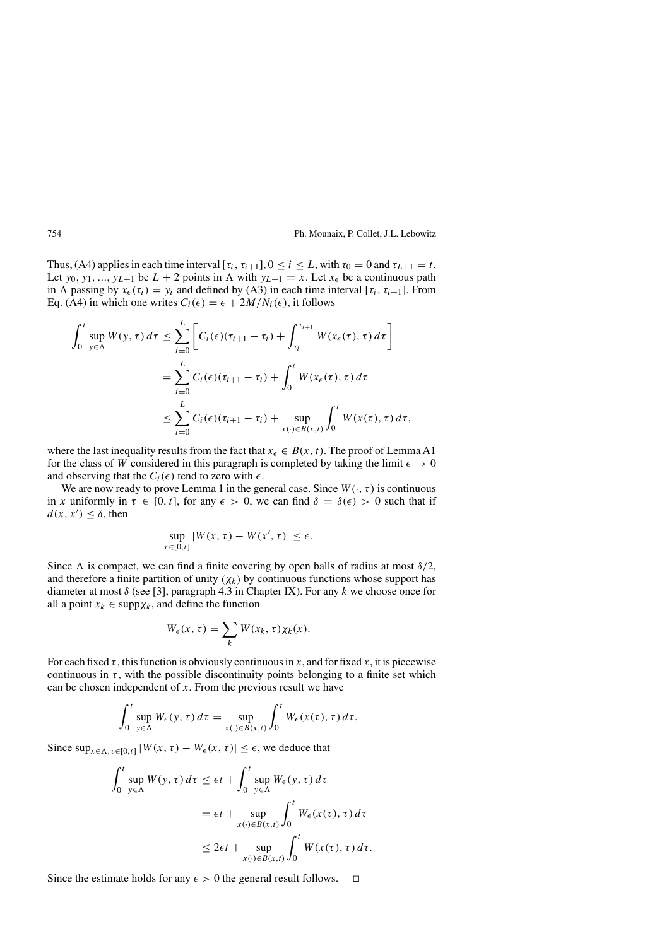Thus, (A4) applies in each time interval  $[\tau_i, \tau_{i+1}], 0 \le i \le L$ , with  $\tau_0 = 0$  and  $\tau_{L+1} = t$ . Let  $y_0, y_1, ..., y_{L+1}$  be  $L + 2$  points in  $\Lambda$  with  $y_{L+1} = x$ . Let  $x_{\epsilon}$  be a continuous path in A passing by  $x_{\epsilon}(\tau_i) = y_i$  and defined by (A3) in each time interval  $[\tau_i, \tau_{i+1}]$ . From Eq. (A4) in which one writes  $C_i(\epsilon) = \epsilon + 2M/N_i(\epsilon)$ , it follows

$$
\int_{0}^{t} \sup_{y \in \Lambda} W(y, \tau) d\tau \leq \sum_{i=0}^{L} \left[ C_{i}(\epsilon)(\tau_{i+1} - \tau_{i}) + \int_{\tau_{i}}^{\tau_{i+1}} W(x_{\epsilon}(\tau), \tau) d\tau \right]
$$
  
\n
$$
= \sum_{i=0}^{L} C_{i}(\epsilon)(\tau_{i+1} - \tau_{i}) + \int_{0}^{t} W(x_{\epsilon}(\tau), \tau) d\tau
$$
  
\n
$$
\leq \sum_{i=0}^{L} C_{i}(\epsilon)(\tau_{i+1} - \tau_{i}) + \sup_{x(\cdot) \in B(x, t)} \int_{0}^{t} W(x(\tau), \tau) d\tau,
$$

where the last inequality results from the fact that  $x_{\epsilon} \in B(x, t)$ . The proof of Lemma A1 for the class of W considered in this paragraph is completed by taking the limit  $\epsilon \to 0$ and observing that the  $C_i(\epsilon)$  tend to zero with  $\epsilon$ .

We are now ready to prove Lemma 1 in the general case. Since  $W(\cdot, \tau)$  is continuous in x uniformly in  $\tau \in [0, t]$ , for any  $\epsilon > 0$ , we can find  $\delta = \delta(\epsilon) > 0$  such that if  $d(x, x') \leq \delta$ , then

$$
\sup_{\tau \in [0,t]} |W(x,\tau) - W(x',\tau)| \le \epsilon.
$$

Since  $\Lambda$  is compact, we can find a finite covering by open balls of radius at most  $\delta/2$ , and therefore a finite partition of unity  $(\chi_k)$  by continuous functions whose support has diameter at most  $\delta$  (see [3], paragraph 4.3 in Chapter IX). For any k we choose once for all a point  $x_k \in \text{supp}\chi_k$ , and define the function

$$
W_{\epsilon}(x,\tau)=\sum_{k}W(x_k,\tau)\chi_k(x).
$$

For each fixed  $\tau$ , this function is obviously continuous in x, and for fixed x, it is piecewise continuous in  $\tau$ , with the possible discontinuity points belonging to a finite set which can be chosen independent of  $x$ . From the previous result we have

$$
\int_0^t \sup_{y \in \Lambda} W_{\epsilon}(y, \tau) d\tau = \sup_{x(\cdot) \in B(x, t)} \int_0^t W_{\epsilon}(x(\tau), \tau) d\tau.
$$

Since  $\sup_{x \in \Lambda, \tau \in [0,t]} |W(x, \tau) - W_{\epsilon}(x, \tau)| \leq \epsilon$ , we deduce that

$$
\int_{0}^{t} \sup_{y \in \Lambda} W(y, \tau) d\tau \le \epsilon t + \int_{0}^{t} \sup_{y \in \Lambda} W_{\epsilon}(y, \tau) d\tau
$$
  

$$
= \epsilon t + \sup_{x(\cdot) \in B(x, t)} \int_{0}^{t} W_{\epsilon}(x(\tau), \tau) d\tau
$$
  

$$
\le 2\epsilon t + \sup_{x(\cdot) \in B(x, t)} \int_{0}^{t} W(x(\tau), \tau) d\tau.
$$

Since the estimate holds for any  $\epsilon > 0$  the general result follows.  $\Box$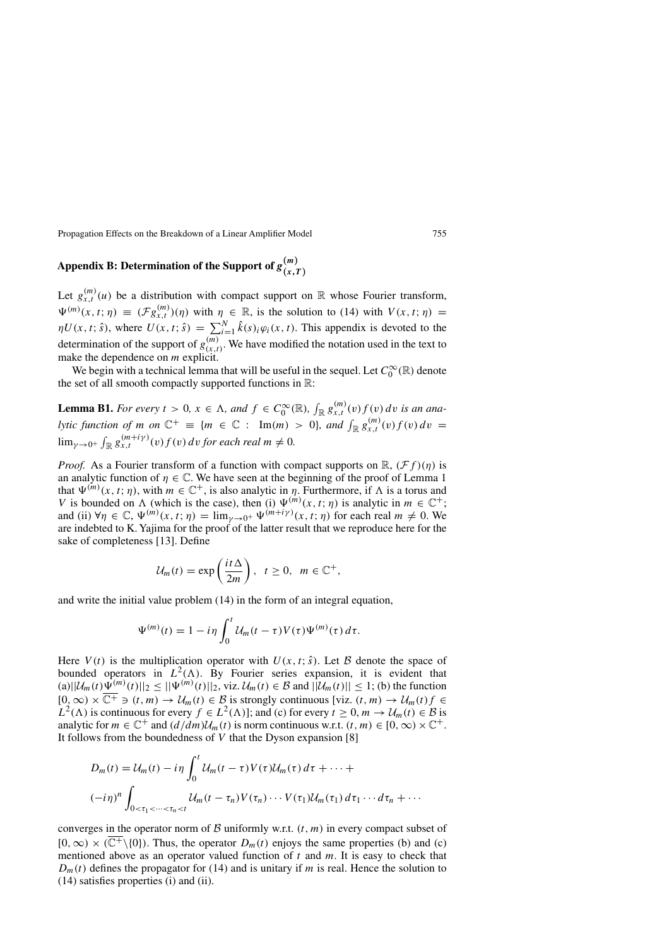#### Appendix B: Determination of the Support of  $g_{(r)}^{(m)}$  $(x,T)$

Let  $g_{x,t}^{(m)}(u)$  be a distribution with compact support on R whose Fourier transform,  $\Psi^{(m)}(x, t; \eta) \equiv (\mathcal{F}g^{(m)}_{x,t})(\eta)$  with  $\eta \in \mathbb{R}$ , is the solution to (14) with  $V(x, t; \eta) =$  $\eta U(x, t; \hat{s})$ , where  $U(x, t; \hat{s}) = \sum_{i=1}^{N} \hat{k}(s)_{i} \varphi_{i}(x, t)$ . This appendix is devoted to the determination of the support of  $g_{(x,t)}^{(m)}$ . We have modified the notation used in the text to make the dependence on *m* explicit.

We begin with a technical lemma that will be useful in the sequel. Let  $C_0^{\infty}(\mathbb{R})$  denote the set of all smooth compactly supported functions in  $\mathbb{R}$ :

**Lemma B1.** *For every*  $t > 0$ ,  $x \in \Lambda$ , and  $f \in C_0^{\infty}(\mathbb{R})$ ,  $\int_{\mathbb{R}} g_{x,t}^{(m)}(v) f(v) dv$  *is an analytic function of*  $m$  *on*  $\mathbb{C}^+ \equiv \{m \in \mathbb{C} : Im(m) > 0\}$ *, and*  $\int_{\mathbb{R}} g_{x,t}^{(m)}(v) f(v) dv =$  $\lim_{\gamma \to 0^+} \int_{\mathbb{R}} g_{x,t}^{(m+i\gamma)}(v) f(v) dv$  *for each real*  $m \neq 0$ .

*Proof.* As a Fourier transform of a function with compact supports on  $\mathbb{R}$ ,  $(\mathcal{F}f)(\eta)$  is an analytic function of  $\eta \in \mathbb{C}$ . We have seen at the beginning of the proof of Lemma 1 that  $\Psi^{(m)}(x, t; \eta)$ , with  $m \in \mathbb{C}^+$ , is also analytic in  $\eta$ . Furthermore, if  $\Lambda$  is a torus and V is bounded on  $\Lambda$  (which is the case), then (i)  $\Psi^{(m)}(x, t; \eta)$  is analytic in  $m \in \mathbb{C}^+$ ; and (ii)  $\forall \eta \in \mathbb{C}, \Psi^{(m)}(x, t; \eta) = \lim_{\gamma \to 0^+} \Psi^{(m+i\gamma)}(x, t; \eta)$  for each real  $m \neq 0$ . We are indebted to K. Yajima for the proof of the latter result that we reproduce here for the sake of completeness [13]. Define

$$
\mathcal{U}_m(t) = \exp\left(\frac{it\,\Delta}{2m}\right), \ \ t \geq 0, \ \ m \in \mathbb{C}^+,
$$

and write the initial value problem (14) in the form of an integral equation,

$$
\Psi^{(m)}(t) = 1 - i\eta \int_0^t \mathcal{U}_m(t-\tau) V(\tau) \Psi^{(m)}(\tau) d\tau.
$$

Here  $V(t)$  is the multiplication operator with  $U(x, t; \hat{s})$ . Let B denote the space of bounded operators in  $L^2(\Lambda)$ . By Fourier series expansion, it is evident that  $||\mathcal{U}_m(t)\Psi^{(m)}(t)||_2 \leq ||\Psi^{(m)}(t)||_2$ , viz.  $\mathcal{U}_m(t) \in \mathcal{B}$  and  $||\mathcal{U}_m(t)|| \leq 1$ ; (b) the function  $[0,\infty) \times \overline{\mathbb{C}^+} \ni (t,m) \to \mathcal{U}_m(t) \in \mathcal{B}$  is strongly continuous [viz.  $(t,m) \to \mathcal{U}_m(t) f \in$  $L^2(\Lambda)$  is continuous for every  $f \in L^2(\Lambda)$ ]; and (c) for every  $t \ge 0$ ,  $m \to \mathcal{U}_m(t) \in \mathcal{B}$  is analytic for  $m \in \mathbb{C}^+$  and  $(d/dm)U_m(t)$  is norm continuous w.r.t.  $(t, m) \in [0, \infty) \times \mathbb{C}^+$ . It follows from the boundedness of  $V$  that the Dyson expansion [8]

$$
D_m(t) = \mathcal{U}_m(t) - i\eta \int_0^t \mathcal{U}_m(t-\tau) V(\tau) \mathcal{U}_m(\tau) d\tau + \cdots +
$$

$$
(-i\eta)^n \int_{0 < \tau_1 < \cdots < \tau_n < t} \mathcal{U}_m(t-\tau_n) V(\tau_n) \cdots V(\tau_1) \mathcal{U}_m(\tau_1) d\tau_1 \cdots d\tau_n + \cdots
$$

converges in the operator norm of  $\beta$  uniformly w.r.t.  $(t, m)$  in every compact subset of  $[0,\infty) \times (\overline{\mathbb{C}^+}\setminus \{0\})$ . Thus, the operator  $D_m(t)$  enjoys the same properties (b) and (c) mentioned above as an operator valued function of  $t$  and  $m$ . It is easy to check that  $D_m(t)$  defines the propagator for (14) and is unitary if m is real. Hence the solution to (14) satisfies properties (i) and (ii).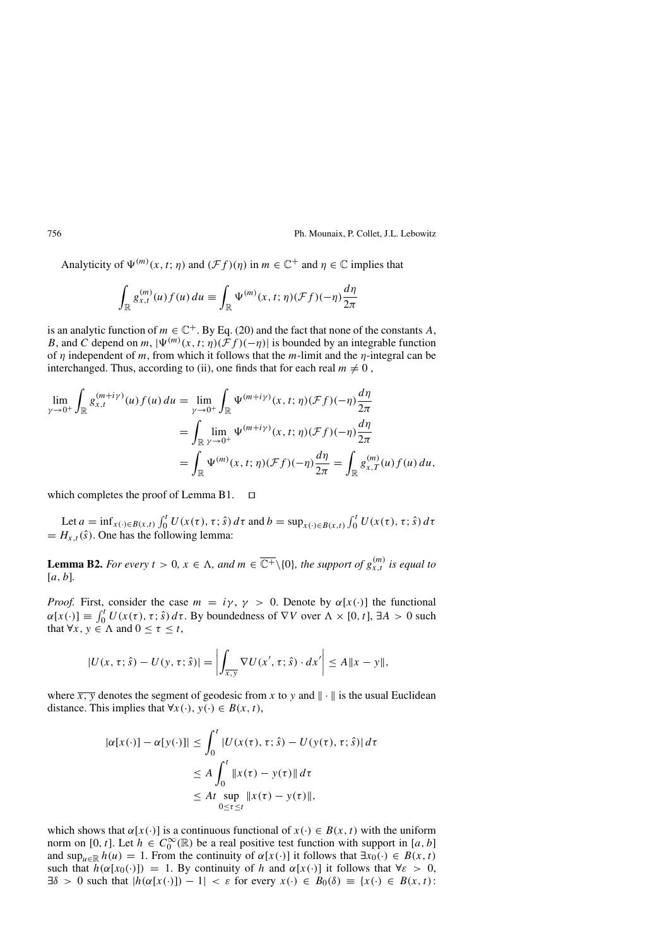Analyticity of  $\Psi^{(m)}(x, t; \eta)$  and  $(\mathcal{F}f)(\eta)$  in  $m \in \mathbb{C}^+$  and  $\eta \in \mathbb{C}$  implies that

$$
\int_{\mathbb{R}} g_{x,t}^{(m)}(u) f(u) du \equiv \int_{\mathbb{R}} \Psi^{(m)}(x,t;\eta) (\mathcal{F}f)(-\eta) \frac{d\eta}{2\pi}
$$

is an analytic function of  $m \in \mathbb{C}^+$ . By Eq. (20) and the fact that none of the constants A, B, and C depend on m,  $|\Psi^{(m)}(x, t; \eta)(\mathcal{F}f)(-\eta)|$  is bounded by an integrable function of  $\eta$  independent of m, from which it follows that the m-limit and the  $\eta$ -integral can be interchanged. Thus, according to (ii), one finds that for each real  $m \neq 0$ ,

$$
\lim_{\gamma \to 0^+} \int_{\mathbb{R}} g_{x,t}^{(m+i\gamma)}(u) f(u) du = \lim_{\gamma \to 0^+} \int_{\mathbb{R}} \Psi^{(m+i\gamma)}(x,t;\eta) (\mathcal{F}f)(-\eta) \frac{d\eta}{2\pi}
$$
  
\n
$$
= \int_{\mathbb{R}} \lim_{\gamma \to 0^+} \Psi^{(m+i\gamma)}(x,t;\eta) (\mathcal{F}f)(-\eta) \frac{d\eta}{2\pi}
$$
  
\n
$$
= \int_{\mathbb{R}} \Psi^{(m)}(x,t;\eta) (\mathcal{F}f)(-\eta) \frac{d\eta}{2\pi} = \int_{\mathbb{R}} g_{x,T}^{(m)}(u) f(u) du,
$$

which completes the proof of Lemma B1.

Let  $a = \inf_{x(\cdot) \in B(x,t)} \int_0^t U(x(\tau), \tau; \hat{s}) d\tau$  and  $b = \sup_{x(\cdot) \in B(x,t)} \int_0^t U(x(\tau), \tau; \hat{s}) d\tau$  $= H_{x,t}(\hat{s})$ . One has the following lemma:

**Lemma B2.** *For every*  $t > 0$ ,  $x \in \Lambda$ , and  $m \in \overline{\mathbb{C}^+}\setminus\{0\}$ , the support of  $g_{x,t}^{(m)}$  is equal to [a, b]*.*

*Proof.* First, consider the case  $m = iy$ ,  $\gamma > 0$ . Denote by  $\alpha[x(\cdot)]$  the functional  $\alpha[x(\cdot)] \equiv \int_0^t U(x(\tau), \tau; \hat{s}) d\tau$ . By boundedness of  $\nabla V$  over  $\Lambda \times [0, t]$ ,  $\exists A > 0$  such that  $\forall x, y \in \Lambda$  and  $0 \leq \tau \leq t$ ,

$$
|U(x, \tau; \hat{s}) - U(y, \tau; \hat{s})| = \left| \int_{\overline{x}, \overline{y}} \nabla U(x', \tau; \hat{s}) \cdot dx' \right| \le A \|x - y\|,
$$

where  $\overline{x}$ ,  $\overline{y}$  denotes the segment of geodesic from x to y and  $\|\cdot\|$  is the usual Euclidean distance. This implies that  $\forall x(\cdot), y(\cdot) \in B(x, t)$ ,

$$
|\alpha[x(\cdot)] - \alpha[y(\cdot)]| \le \int_0^t |U(x(\tau), \tau; \hat{s}) - U(y(\tau), \tau; \hat{s})| d\tau
$$
  
\n
$$
\le A \int_0^t ||x(\tau) - y(\tau)|| d\tau
$$
  
\n
$$
\le At \sup_{0 \le \tau \le t} ||x(\tau) - y(\tau)||,
$$

which shows that  $\alpha[x(\cdot)]$  is a continuous functional of  $x(\cdot) \in B(x, t)$  with the uniform norm on [0, t]. Let  $h \in C_0^{\infty}(\mathbb{R})$  be a real positive test function with support in [a, b] and sup<sub>u∈R</sub>  $h(u) = 1$ . From the continuity of  $\alpha[x(\cdot)]$  it follows that  $\exists x_0(\cdot) \in B(x, t)$ such that  $h(\alpha[x_0(\cdot)]) = 1$ . By continuity of h and  $\alpha[x(\cdot)]$  it follows that  $\forall \varepsilon > 0$ ,  $\exists \delta > 0$  such that  $|h(\alpha[x(\cdot)]) - 1| < \varepsilon$  for every  $x(\cdot) \in B_0(\delta) \equiv \{x(\cdot) \in B(x, t):$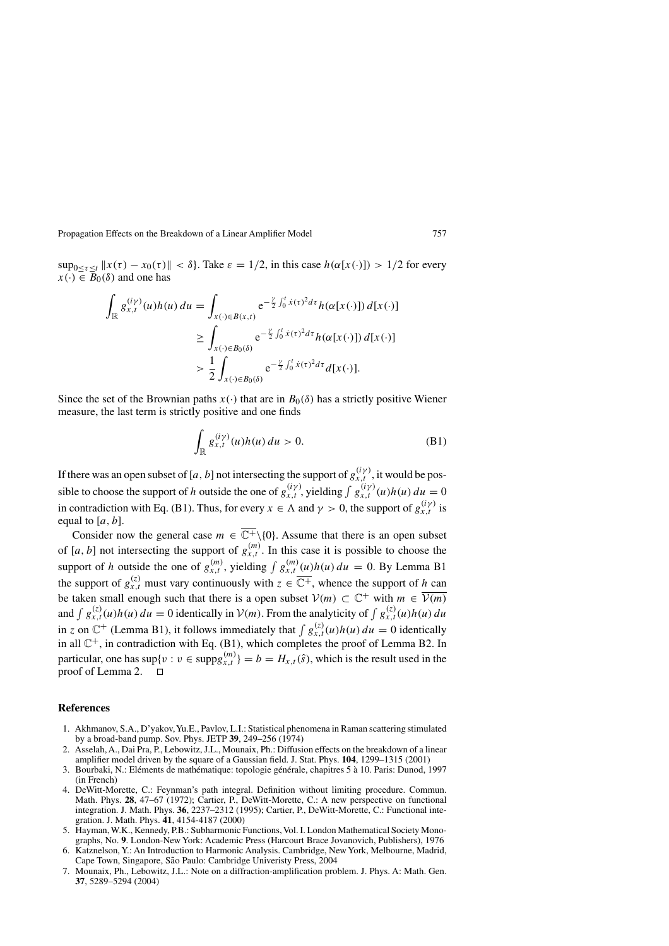$\sup_{0 \le \tau \le t} ||x(\tau) - x_0(\tau)|| < \delta$ . Take  $\varepsilon = 1/2$ , in this case  $h(\alpha[x(\cdot)]) > 1/2$  for every  $x(\cdot) \in \overline{B_0(\delta)}$  and one has

$$
\int_{\mathbb{R}} g_{x,t}^{(i\gamma)}(u)h(u) du = \int_{x(\cdot) \in B(x,t)} e^{-\frac{\gamma}{2} \int_0^t \dot{x}(\tau)^2 d\tau} h(\alpha[x(\cdot)]) d[x(\cdot)]
$$
  
\n
$$
\geq \int_{x(\cdot) \in B_0(\delta)} e^{-\frac{\gamma}{2} \int_0^t \dot{x}(\tau)^2 d\tau} h(\alpha[x(\cdot)]) d[x(\cdot)]
$$
  
\n
$$
> \frac{1}{2} \int_{x(\cdot) \in B_0(\delta)} e^{-\frac{\gamma}{2} \int_0^t \dot{x}(\tau)^2 d\tau} d[x(\cdot)].
$$

Since the set of the Brownian paths  $x(\cdot)$  that are in  $B_0(\delta)$  has a strictly positive Wiener measure, the last term is strictly positive and one finds

$$
\int_{\mathbb{R}} g_{x,t}^{(i\gamma)}(u)h(u) \, du > 0. \tag{B1}
$$

If there was an open subset of [a, b] not intersecting the support of  $g_{x,t}^{(i\gamma)}$ , it would be possible to choose the support of h outside the one of  $g_{x,t}^{(i\gamma)}$ , yielding  $\int g_{x,t}^{(i\gamma)}(u)h(u) du = 0$ in contradiction with Eq. (B1). Thus, for every  $x \in \Lambda$  and  $\gamma > 0$ , the support of  $g_{x,t}^{(i\gamma)}$  is equal to [a, b].

Consider now the general case  $m \in \overline{\mathbb{C}^+} \setminus \{0\}$ . Assume that there is an open subset of [a, b] not intersecting the support of  $g_{x,t}^{(m)}$ . In this case it is possible to choose the support of h outside the one of  $g_{x,t}^{(m)}$ , yielding  $\int g_{x,t}^{(m)}(u)h(u) du = 0$ . By Lemma B1 the support of  $g_{x,t}^{(z)}$  must vary continuously with  $z \in \overline{\mathbb{C}^+}$ , whence the support of h can be taken small enough such that there is a open subset  $V(m) \subset \mathbb{C}^+$  with  $m \in \overline{V(m)}$ and  $\int g_{x,t}^{(z)}(u)h(u) du = 0$  identically in  $V(m)$ . From the analyticity of  $\int g_{x,t}^{(z)}(u)h(u) du$ in z on  $\mathbb{C}^+$  (Lemma B1), it follows immediately that  $\int g_{x,t}^{(z)}(u)h(u) du = 0$  identically in all  $\mathbb{C}^+$ , in contradiction with Eq. (B1), which completes the proof of Lemma B2. In particular, one has  $\sup\{v : v \in \text{supp}g_{x,t}^{(m)}\} = b = H_{x,t}(\hat{s})$ , which is the result used in the proof of Lemma 2.

### **References**

- 1. Akhmanov, S.A., D'yakov,Yu.E., Pavlov, L.I.: Statistical phenomena in Raman scattering stimulated by a broad-band pump. Sov. Phys. JETP **39**, 249–256 (1974)
- 2. Asselah, A., Dai Pra, P., Lebowitz, J.L., Mounaix, Ph.: Diffusion effects on the breakdown of a linear amplifier model driven by the square of a Gaussian field. J. Stat. Phys. **104**, 1299–1315 (2001)
- 3. Bourbaki, N.: Eléments de mathématique: topologie générale, chapitres 5 à 10. Paris: Dunod, 1997 (in French)
- 4. DeWitt-Morette, C.: Feynman's path integral. Definition without limiting procedure. Commun. Math. Phys. **28**, 47–67 (1972); Cartier, P., DeWitt-Morette, C.: A new perspective on functional integration. J. Math. Phys. **36**, 2237–2312 (1995); Cartier, P., DeWitt-Morette, C.: Functional integration. J. Math. Phys. **41**, 4154-4187 (2000)
- 5. Hayman, W.K., Kennedy, P.B.: Subharmonic Functions, Vol. I. London Mathematical Society Monographs, No. **9**. London-New York: Academic Press (Harcourt Brace Jovanovich, Publishers), 1976
- 6. Katznelson, Y.: An Introduction to Harmonic Analysis. Cambridge, New York, Melbourne, Madrid, Cape Town, Singapore, São Paulo: Cambridge Univeristy Press, 2004
- 7. Mounaix, Ph., Lebowitz, J.L.: Note on a diffraction-amplification problem. J. Phys. A: Math. Gen. **37**, 5289–5294 (2004)